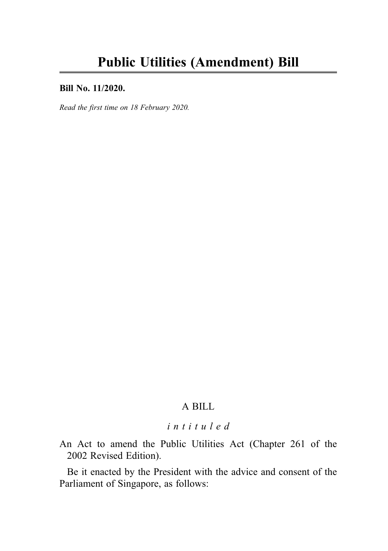#### Bill No. 11/2020.

Read the first time on 18 February 2020.

# A BILL

# intituled

An Act to amend the Public Utilities Act (Chapter 261 of the 2002 Revised Edition).

Be it enacted by the President with the advice and consent of the Parliament of Singapore, as follows: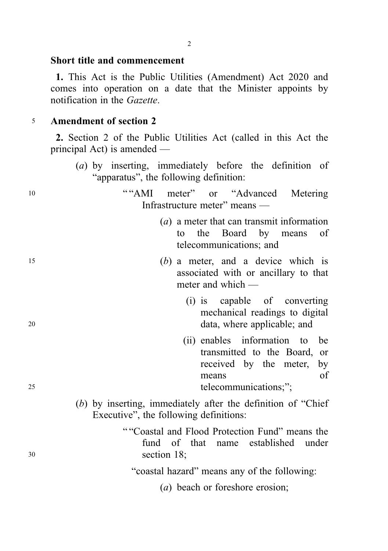#### Short title and commencement

1. This Act is the Public Utilities (Amendment) Act 2020 and comes into operation on a date that the Minister appoints by notification in the Gazette.

### <sup>5</sup> Amendment of section 2

2. Section 2 of the Public Utilities Act (called in this Act the principal Act) is amended —

10 ""AMI meter" or "Advanced Metering"

(a) by inserting, immediately before the definition of "apparatus", the following definition:

Infrastructure meter" means —

(a) a meter that can transmit information to the Board by means of telecommunications; and <sup>15</sup> (b) a meter, and a device which is associated with or ancillary to that meter and which — (i) is capable of converting mechanical readings to digital <sup>20</sup> data, where applicable; and (ii) enables information to be transmitted to the Board, or received by the meter, by means of 25 telecommunications;"; (b) by inserting, immediately after the definition of "Chief Executive", the following definitions: " "Coastal and Flood Protection Fund" means the fund of that name established under <sup>30</sup> section 18; "coastal hazard" means any of the following: (a) beach or foreshore erosion;

2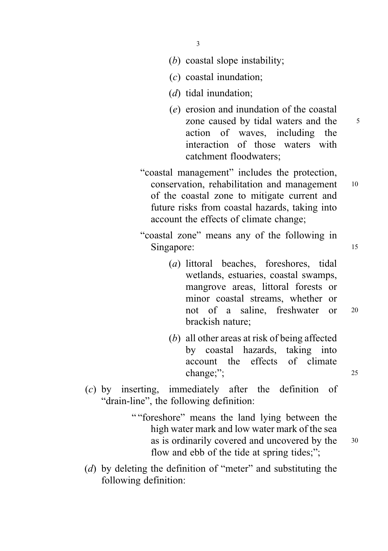- 3
- (b) coastal slope instability;
- (c) coastal inundation;
- (*d*) tidal inundation;
- (e) erosion and inundation of the coastal zone caused by tidal waters and the 5 action of waves, including the interaction of those waters with catchment floodwaters;
- "coastal management" includes the protection, conservation, rehabilitation and management <sup>10</sup> of the coastal zone to mitigate current and future risks from coastal hazards, taking into account the effects of climate change;
- "coastal zone" means any of the following in Singapore: 15
	- (a) littoral beaches, foreshores, tidal wetlands, estuaries, coastal swamps, mangrove areas, littoral forests or minor coastal streams, whether or not of a saline, freshwater or <sup>20</sup> brackish nature;
	- (b) all other areas at risk of being affected by coastal hazards, taking into account the effects of climate change;"; 25
- (c) by inserting, immediately after the definition of "drain-line", the following definition:
	- " "foreshore" means the land lying between the high water mark and low water mark of the sea as is ordinarily covered and uncovered by the <sup>30</sup> flow and ebb of the tide at spring tides;";
- (d) by deleting the definition of "meter" and substituting the following definition: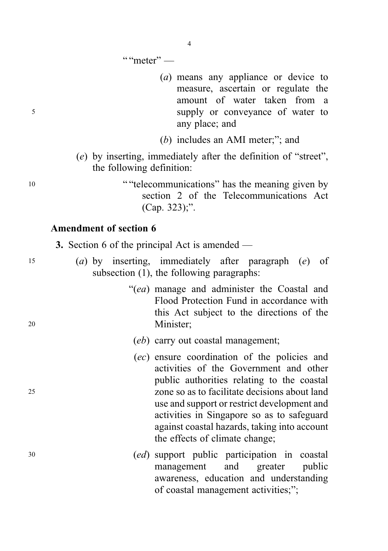" "meter"  $-$ 

- (a) means any appliance or device to measure, ascertain or regulate the amount of water taken from a <sup>5</sup> supply or conveyance of water to any place; and
	- (b) includes an AMI meter;"; and
	- (e) by inserting, immediately after the definition of "street", the following definition:

<sup>10</sup> " "telecommunications" has the meaning given by section 2 of the Telecommunications Act (Cap. 323);".

# Amendment of section 6

3. Section 6 of the principal Act is amended —

- <sup>15</sup> (a) by inserting, immediately after paragraph (e) of subsection (1), the following paragraphs:
- "(ea) manage and administer the Coastal and Flood Protection Fund in accordance with this Act subject to the directions of the <sup>20</sup> Minister;

#### (eb) carry out coastal management;

- (ec) ensure coordination of the policies and activities of the Government and other public authorities relating to the coastal <sup>25</sup> zone so as to facilitate decisions about land use and support or restrict development and activities in Singapore so as to safeguard against coastal hazards, taking into account the effects of climate change;
- <sup>30</sup> (ed) support public participation in coastal management and greater public awareness, education and understanding of coastal management activities;";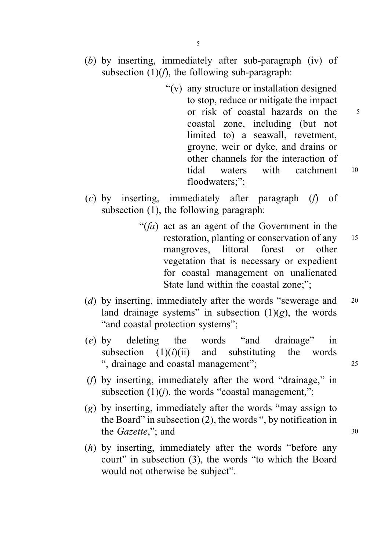- (b) by inserting, immediately after sub-paragraph (iv) of subsection  $(1)(f)$ , the following sub-paragraph:
	- "(v) any structure or installation designed to stop, reduce or mitigate the impact or risk of coastal hazards on the 5 coastal zone, including (but not limited to) a seawall, revetment, groyne, weir or dyke, and drains or other channels for the interaction of tidal waters with catchment <sup>10</sup> floodwaters:":
- (c) by inserting, immediately after paragraph (f) of subsection (1), the following paragraph:
	- " $(fa)$  act as an agent of the Government in the restoration, planting or conservation of any <sup>15</sup> mangroves, littoral forest or other vegetation that is necessary or expedient for coastal management on unalienated State land within the coastal zone:":
- (d) by inserting, immediately after the words "sewerage and 20 land drainage systems" in subsection  $(1)(g)$ , the words "and coastal protection systems";
- (e) by deleting the words "and drainage" in subsection  $(1)(i)(ii)$  and substituting the words ", drainage and coastal management"; <sup>25</sup>
- (f) by inserting, immediately after the word "drainage," in subsection  $(1)(i)$ , the words "coastal management,";
- (g) by inserting, immediately after the words "may assign to the Board" in subsection (2), the words ", by notification in the *Gazette*,": and 30
- (h) by inserting, immediately after the words "before any court" in subsection (3), the words "to which the Board would not otherwise be subject".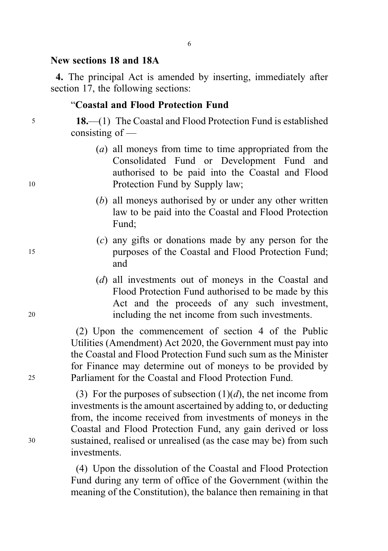#### New sections 18 and 18A

4. The principal Act is amended by inserting, immediately after section 17, the following sections:

### "Coastal and Flood Protection Fund

<sup>5</sup> 18.—(1) The Coastal and Flood Protection Fund is established consisting of —

- (a) all moneys from time to time appropriated from the Consolidated Fund or Development Fund and authorised to be paid into the Coastal and Flood 10 Protection Fund by Supply law;
	- (b) all moneys authorised by or under any other written law to be paid into the Coastal and Flood Protection Fund;
- (c) any gifts or donations made by any person for the <sup>15</sup> purposes of the Coastal and Flood Protection Fund; and
- (d) all investments out of moneys in the Coastal and Flood Protection Fund authorised to be made by this Act and the proceeds of any such investment, <sup>20</sup> including the net income from such investments.

(2) Upon the commencement of section 4 of the Public Utilities (Amendment) Act 2020, the Government must pay into the Coastal and Flood Protection Fund such sum as the Minister for Finance may determine out of moneys to be provided by <sup>25</sup> Parliament for the Coastal and Flood Protection Fund.

(3) For the purposes of subsection  $(1)(d)$ , the net income from investments is the amount ascertained by adding to, or deducting from, the income received from investments of moneys in the Coastal and Flood Protection Fund, any gain derived or loss <sup>30</sup> sustained, realised or unrealised (as the case may be) from such investments.

> (4) Upon the dissolution of the Coastal and Flood Protection Fund during any term of office of the Government (within the meaning of the Constitution), the balance then remaining in that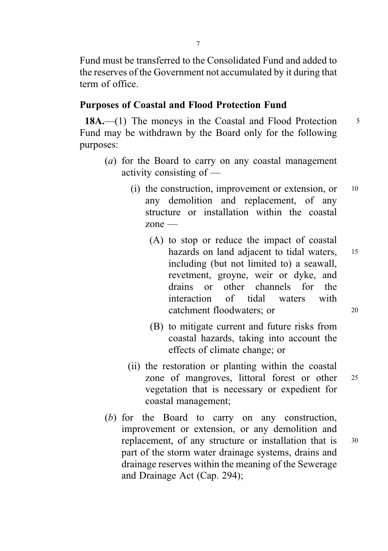Fund must be transferred to the Consolidated Fund and added to the reserves of the Government not accumulated by it during that term of office.

### Purposes of Coastal and Flood Protection Fund

18A.—(1) The moneys in the Coastal and Flood Protection 5 Fund may be withdrawn by the Board only for the following purposes:

- (a) for the Board to carry on any coastal management activity consisting of —
	- (i) the construction, improvement or extension, or  $10$ any demolition and replacement, of any structure or installation within the coastal zone —
		- (A) to stop or reduce the impact of coastal hazards on land adjacent to tidal waters, 15 including (but not limited to) a seawall, revetment, groyne, weir or dyke, and drains or other channels for the interaction of tidal waters with catchment floodwaters; or 20
		- (B) to mitigate current and future risks from coastal hazards, taking into account the effects of climate change; or
	- (ii) the restoration or planting within the coastal zone of mangroves, littoral forest or other <sup>25</sup> vegetation that is necessary or expedient for coastal management;
- (b) for the Board to carry on any construction, improvement or extension, or any demolition and replacement, of any structure or installation that is 30 part of the storm water drainage systems, drains and drainage reserves within the meaning of the Sewerage and Drainage Act (Cap. 294);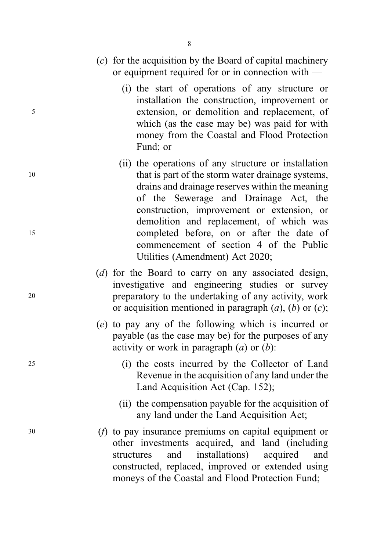- (c) for the acquisition by the Board of capital machinery or equipment required for or in connection with —
- (i) the start of operations of any structure or installation the construction, improvement or <sup>5</sup> extension, or demolition and replacement, of which (as the case may be) was paid for with money from the Coastal and Flood Protection Fund; or
- (ii) the operations of any structure or installation 10 that is part of the storm water drainage systems, drains and drainage reserves within the meaning of the Sewerage and Drainage Act, the construction, improvement or extension, or demolition and replacement, of which was <sup>15</sup> completed before, on or after the date of commencement of section 4 of the Public Utilities (Amendment) Act 2020;
- (d) for the Board to carry on any associated design, investigative and engineering studies or survey <sup>20</sup> preparatory to the undertaking of any activity, work or acquisition mentioned in paragraph  $(a)$ ,  $(b)$  or  $(c)$ ;
	- (e) to pay any of the following which is incurred or payable (as the case may be) for the purposes of any activity or work in paragraph  $(a)$  or  $(b)$ :
- <sup>25</sup> (i) the costs incurred by the Collector of Land Revenue in the acquisition of any land under the Land Acquisition Act (Cap. 152);
	- (ii) the compensation payable for the acquisition of any land under the Land Acquisition Act;
- <sup>30</sup> (f) to pay insurance premiums on capital equipment or other investments acquired, and land (including structures and installations) acquired and constructed, replaced, improved or extended using moneys of the Coastal and Flood Protection Fund;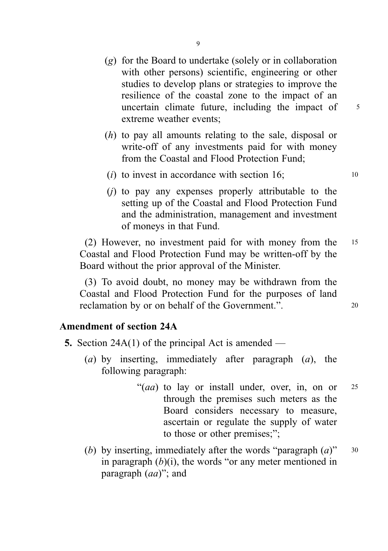- (g) for the Board to undertake (solely or in collaboration with other persons) scientific, engineering or other studies to develop plans or strategies to improve the resilience of the coastal zone to the impact of an uncertain climate future, including the impact of  $5<sup>5</sup>$ extreme weather events;
- (h) to pay all amounts relating to the sale, disposal or write-off of any investments paid for with money from the Coastal and Flood Protection Fund;
- (*i*) to invest in accordance with section 16;  $\frac{10}{2}$
- (j) to pay any expenses properly attributable to the setting up of the Coastal and Flood Protection Fund and the administration, management and investment of moneys in that Fund.

(2) However, no investment paid for with money from the <sup>15</sup> Coastal and Flood Protection Fund may be written-off by the Board without the prior approval of the Minister.

(3) To avoid doubt, no money may be withdrawn from the Coastal and Flood Protection Fund for the purposes of land reclamation by or on behalf of the Government.".

### Amendment of section 24A

- 5. Section 24A(1) of the principal Act is amended
	- (a) by inserting, immediately after paragraph  $(a)$ , the following paragraph:
		- "(*aa*) to lay or install under, over, in, on or  $25$ through the premises such meters as the Board considers necessary to measure, ascertain or regulate the supply of water to those or other premises;";
	- (b) by inserting, immediately after the words "paragraph  $(a)$ " 30 in paragraph  $(b)(i)$ , the words "or any meter mentioned in paragraph  $(aa)$ "; and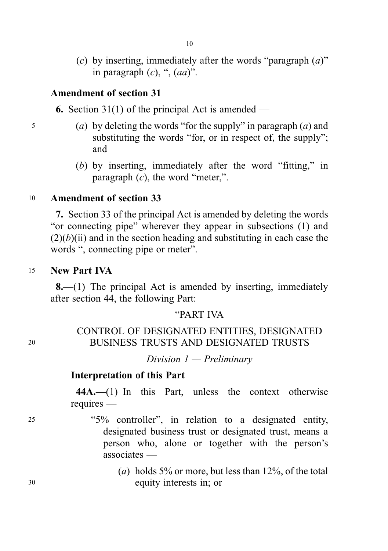- 10
- (c) by inserting, immediately after the words "paragraph  $(a)$ " in paragraph  $(c)$ , ",  $(aa)$ ".

### Amendment of section 31

6. Section 31(1) of the principal Act is amended —

- $\mathfrak{g}$  (a) by deleting the words "for the supply" in paragraph (a) and substituting the words "for, or in respect of, the supply"; and
	- (b) by inserting, immediately after the word "fitting," in paragraph  $(c)$ , the word "meter,".

### <sup>10</sup> Amendment of section 33

7. Section 33 of the principal Act is amended by deleting the words "or connecting pipe" wherever they appear in subsections (1) and  $(2)(b)(ii)$  and in the section heading and substituting in each case the words ", connecting pipe or meter".

#### <sup>15</sup> New Part IVA

8.—(1) The principal Act is amended by inserting, immediately after section 44, the following Part:

### "PART IVA

# CONTROL OF DESIGNATED ENTITIES, DESIGNATED <sup>20</sup> BUSINESS TRUSTS AND DESIGNATED TRUSTS

Division  $1$  — Preliminary

# Interpretation of this Part

44A.—(1) In this Part, unless the context otherwise requires —

- <sup>25</sup> "5% controller", in relation to a designated entity, designated business trust or designated trust, means a person who, alone or together with the person's associates —
- (a) holds 5% or more, but less than  $12\%$ , of the total <sup>30</sup> equity interests in; or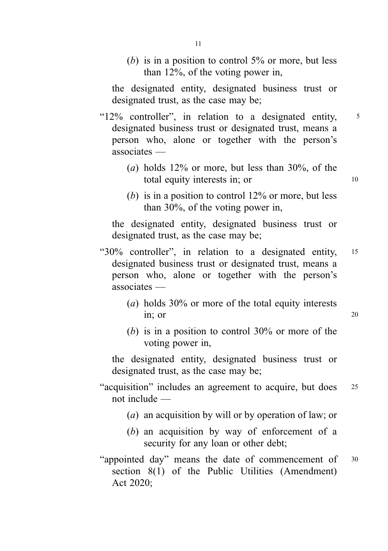(b) is in a position to control  $5\%$  or more, but less than 12%, of the voting power in,

the designated entity, designated business trust or designated trust, as the case may be;

"12% controller", in relation to a designated entity, <sup>5</sup> designated business trust or designated trust, means a person who, alone or together with the person's associates —

- (a) holds 12% or more, but less than 30%, of the total equity interests in; or 10
- (b) is in a position to control  $12\%$  or more, but less than 30%, of the voting power in,

the designated entity, designated business trust or designated trust, as the case may be;

- "30% controller", in relation to a designated entity, <sup>15</sup> designated business trust or designated trust, means a person who, alone or together with the person's associates —
	- (a) holds 30% or more of the total equity interests in; or 20
	- (b) is in a position to control  $30\%$  or more of the voting power in,

the designated entity, designated business trust or designated trust, as the case may be;

- "acquisition" includes an agreement to acquire, but does <sup>25</sup> not include —
	- (a) an acquisition by will or by operation of law; or
	- (b) an acquisition by way of enforcement of a security for any loan or other debt;
- "appointed day" means the date of commencement of <sup>30</sup> section 8(1) of the Public Utilities (Amendment) Act 2020;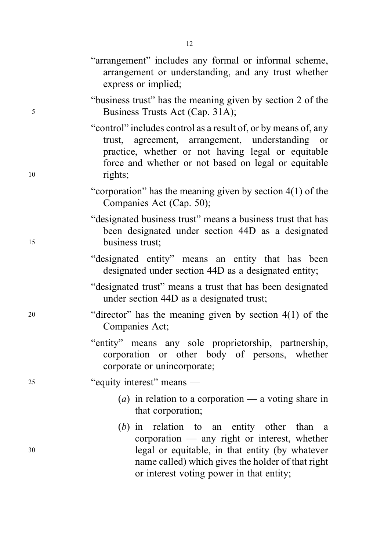|    | "arrangement" includes any formal or informal scheme,<br>arrangement or understanding, and any trust whether<br>express or implied;                                                                                                             |
|----|-------------------------------------------------------------------------------------------------------------------------------------------------------------------------------------------------------------------------------------------------|
| 5  | "business trust" has the meaning given by section 2 of the<br>Business Trusts Act (Cap. 31A);                                                                                                                                                   |
| 10 | "control" includes control as a result of, or by means of, any<br>trust, agreement, arrangement, understanding or<br>practice, whether or not having legal or equitable<br>force and whether or not based on legal or equitable<br>rights;      |
|    | "corporation" has the meaning given by section $4(1)$ of the<br>Companies Act (Cap. 50);                                                                                                                                                        |
| 15 | "designated business trust" means a business trust that has<br>been designated under section 44D as a designated<br>business trust;                                                                                                             |
|    | "designated entity" means an entity that has been<br>designated under section 44D as a designated entity;                                                                                                                                       |
|    | "designated trust" means a trust that has been designated<br>under section 44D as a designated trust;                                                                                                                                           |
| 20 | "director" has the meaning given by section $4(1)$ of the<br>Companies Act;                                                                                                                                                                     |
|    | "entity" means any sole proprietorship, partnership,<br>corporation or other body of persons, whether<br>corporate or unincorporate;                                                                                                            |
| 25 | "equity interest" means —                                                                                                                                                                                                                       |
|    | (a) in relation to a corporation — a voting share in<br>that corporation;                                                                                                                                                                       |
| 30 | $(b)$ in relation to an entity other than a<br>corporation - any right or interest, whether<br>legal or equitable, in that entity (by whatever<br>name called) which gives the holder of that right<br>or interest voting power in that entity; |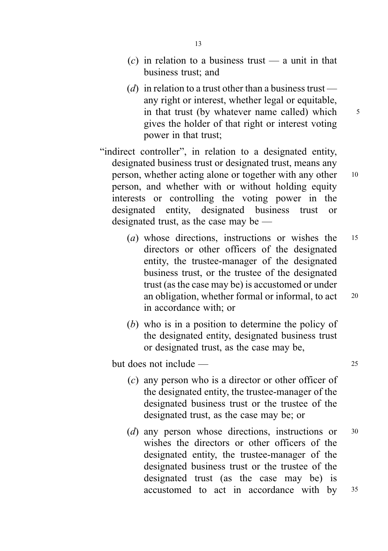- (c) in relation to a business trust a unit in that business trust; and
- (d) in relation to a trust other than a business trust any right or interest, whether legal or equitable, in that trust (by whatever name called) which  $5$ gives the holder of that right or interest voting power in that trust;
- "indirect controller", in relation to a designated entity, designated business trust or designated trust, means any person, whether acting alone or together with any other <sup>10</sup> person, and whether with or without holding equity interests or controlling the voting power in the designated entity, designated business trust or designated trust, as the case may be —
	- (a) whose directions, instructions or wishes the <sup>15</sup> directors or other officers of the designated entity, the trustee-manager of the designated business trust, or the trustee of the designated trust (as the case may be) is accustomed or under an obligation, whether formal or informal, to act <sup>20</sup> in accordance with; or
	- (b) who is in a position to determine the policy of the designated entity, designated business trust or designated trust, as the case may be,

 $but does not include  $—$  25$ 

- (c) any person who is a director or other officer of the designated entity, the trustee-manager of the designated business trust or the trustee of the designated trust, as the case may be; or
- (d) any person whose directions, instructions or  $30$ wishes the directors or other officers of the designated entity, the trustee-manager of the designated business trust or the trustee of the designated trust (as the case may be) is accustomed to act in accordance with by <sup>35</sup>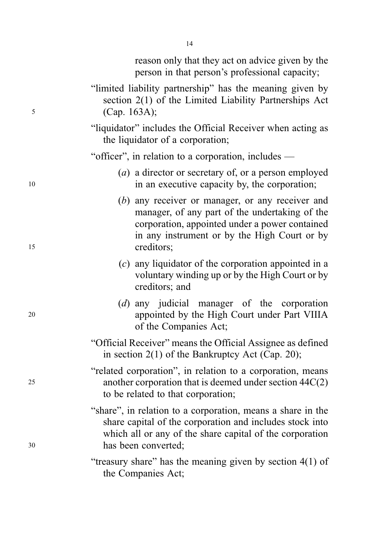|    | reason only that they act on advice given by the<br>person in that person's professional capacity;                                                                                                                 |
|----|--------------------------------------------------------------------------------------------------------------------------------------------------------------------------------------------------------------------|
| 5  | "limited liability partnership" has the meaning given by<br>section 2(1) of the Limited Liability Partnerships Act<br>(Cap. 163A);                                                                                 |
|    | "liquidator" includes the Official Receiver when acting as<br>the liquidator of a corporation;                                                                                                                     |
|    | "officer", in relation to a corporation, includes —                                                                                                                                                                |
| 10 | (a) a director or secretary of, or a person employed<br>in an executive capacity by, the corporation;                                                                                                              |
| 15 | (b) any receiver or manager, or any receiver and<br>manager, of any part of the undertaking of the<br>corporation, appointed under a power contained<br>in any instrument or by the High Court or by<br>creditors; |
|    | $(c)$ any liquidator of the corporation appointed in a<br>voluntary winding up or by the High Court or by<br>creditors; and                                                                                        |
| 20 | $(d)$ any judicial manager of the corporation<br>appointed by the High Court under Part VIIIA<br>of the Companies Act;                                                                                             |
|    | "Official Receiver" means the Official Assignee as defined<br>in section $2(1)$ of the Bankruptcy Act (Cap. 20);                                                                                                   |
| 25 | "related corporation", in relation to a corporation, means<br>another corporation that is deemed under section $44C(2)$<br>to be related to that corporation;                                                      |
| 30 | "share", in relation to a corporation, means a share in the<br>share capital of the corporation and includes stock into<br>which all or any of the share capital of the corporation<br>has been converted;         |
|    | "treasury share" has the meaning given by section $4(1)$ of<br>the Companies Act;                                                                                                                                  |

14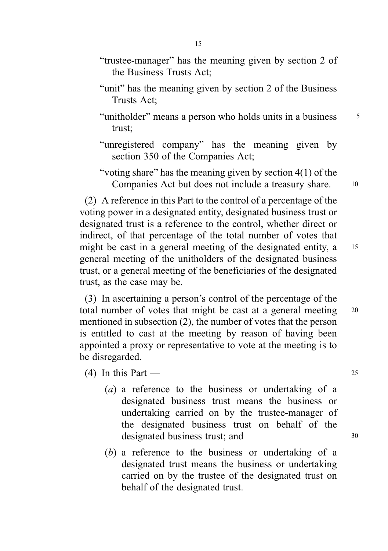- "unit" has the meaning given by section 2 of the Business Trusts Act;
- "unitholder" means a person who holds units in a business  $\frac{5}{5}$ trust;
- "unregistered company" has the meaning given by section 350 of the Companies Act;
- "voting share" has the meaning given by section 4(1) of the Companies Act but does not include a treasury share. 10

(2) A reference in this Part to the control of a percentage of the voting power in a designated entity, designated business trust or designated trust is a reference to the control, whether direct or indirect, of that percentage of the total number of votes that might be cast in a general meeting of the designated entity, a 15 general meeting of the unitholders of the designated business trust, or a general meeting of the beneficiaries of the designated trust, as the case may be.

(3) In ascertaining a person's control of the percentage of the total number of votes that might be cast at a general meeting 20 mentioned in subsection (2), the number of votes that the person is entitled to cast at the meeting by reason of having been appointed a proxy or representative to vote at the meeting is to be disregarded.

(4) In this Part —  $25$ 

- (a) a reference to the business or undertaking of a designated business trust means the business or undertaking carried on by the trustee-manager of the designated business trust on behalf of the designated business trust; and  $30$
- (b) a reference to the business or undertaking of a designated trust means the business or undertaking carried on by the trustee of the designated trust on behalf of the designated trust.

15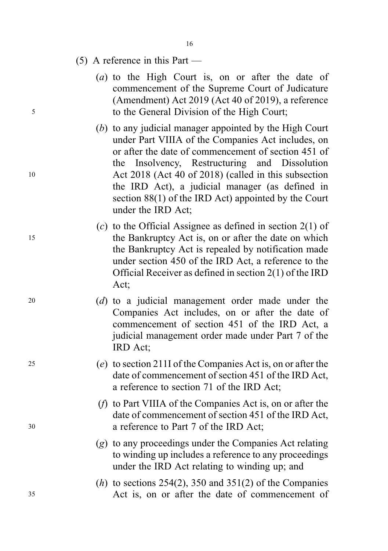- 16
- (5) A reference in this Part —
- (a) to the High Court is, on or after the date of commencement of the Supreme Court of Judicature (Amendment) Act 2019 (Act 40 of 2019), a reference <sup>5</sup> to the General Division of the High Court;
- (b) to any judicial manager appointed by the High Court under Part VIIIA of the Companies Act includes, on or after the date of commencement of section 451 of the Insolvency, Restructuring and Dissolution <sup>10</sup> Act 2018 (Act 40 of 2018) (called in this subsection the IRD Act), a judicial manager (as defined in section 88(1) of the IRD Act) appointed by the Court under the IRD Act;
- (c) to the Official Assignee as defined in section  $2(1)$  of <sup>15</sup> the Bankruptcy Act is, on or after the date on which the Bankruptcy Act is repealed by notification made under section 450 of the IRD Act, a reference to the Official Receiver as defined in section 2(1) of the IRD Act;
- <sup>20</sup> (d) to a judicial management order made under the Companies Act includes, on or after the date of commencement of section 451 of the IRD Act, a judicial management order made under Part 7 of the IRD Act;
- <sup>25</sup> (e) to section 211I of the Companies Act is, on or after the date of commencement of section 451 of the IRD Act, a reference to section 71 of the IRD Act;
- (f) to Part VIIIA of the Companies Act is, on or after the date of commencement of section 451 of the IRD Act, <sup>30</sup> a reference to Part 7 of the IRD Act;
	- (g) to any proceedings under the Companies Act relating to winding up includes a reference to any proceedings under the IRD Act relating to winding up; and
- $(h)$  to sections 254(2), 350 and 351(2) of the Companies <sup>35</sup> Act is, on or after the date of commencement of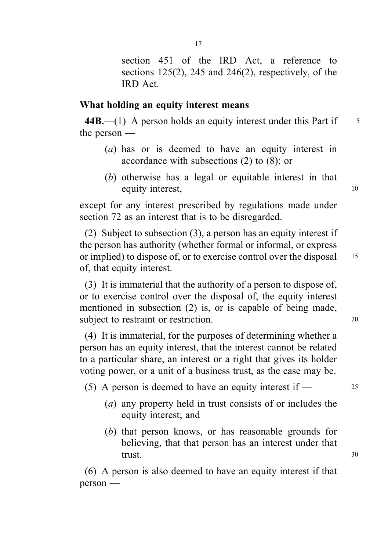section 451 of the IRD Act, a reference to sections  $125(2)$ ,  $245$  and  $246(2)$ , respectively, of the IRD Act.

#### What holding an equity interest means

 $44B$ , (1) A person holds an equity interest under this Part if  $\frac{5}{5}$ the person —

- (a) has or is deemed to have an equity interest in accordance with subsections (2) to (8); or
- (b) otherwise has a legal or equitable interest in that equity interest, 10

except for any interest prescribed by regulations made under section 72 as an interest that is to be disregarded.

(2) Subject to subsection (3), a person has an equity interest if the person has authority (whether formal or informal, or express or implied) to dispose of, or to exercise control over the disposal 15 of, that equity interest.

(3) It is immaterial that the authority of a person to dispose of, or to exercise control over the disposal of, the equity interest mentioned in subsection (2) is, or is capable of being made, subject to restraint or restriction. 20

(4) It is immaterial, for the purposes of determining whether a person has an equity interest, that the interest cannot be related to a particular share, an interest or a right that gives its holder voting power, or a unit of a business trust, as the case may be.

(5) A person is deemed to have an equity interest if  $\sim$  25

- (a) any property held in trust consists of or includes the equity interest; and
- (b) that person knows, or has reasonable grounds for believing, that that person has an interest under that trust. 30

(6) A person is also deemed to have an equity interest if that person —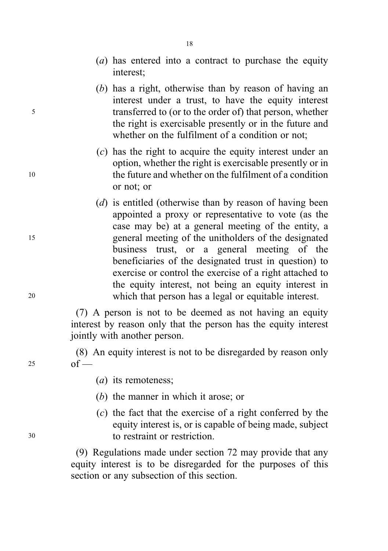- (a) has entered into a contract to purchase the equity interest;
- (b) has a right, otherwise than by reason of having an interest under a trust, to have the equity interest <sup>5</sup> transferred to (or to the order of) that person, whether the right is exercisable presently or in the future and whether on the fulfilment of a condition or not:
- (c) has the right to acquire the equity interest under an option, whether the right is exercisable presently or in <sup>10</sup> the future and whether on the fulfilment of a condition or not; or
- (d) is entitled (otherwise than by reason of having been appointed a proxy or representative to vote (as the case may be) at a general meeting of the entity, a <sup>15</sup> general meeting of the unitholders of the designated business trust, or a general meeting of the beneficiaries of the designated trust in question) to exercise or control the exercise of a right attached to the equity interest, not being an equity interest in <sup>20</sup> which that person has a legal or equitable interest.

(7) A person is not to be deemed as not having an equity interest by reason only that the person has the equity interest jointly with another person.

(8) An equity interest is not to be disregarded by reason only  $25$  of —

- (*a*) its remoteness;
- (b) the manner in which it arose; or
- (c) the fact that the exercise of a right conferred by the equity interest is, or is capable of being made, subject <sup>30</sup> to restraint or restriction.

(9) Regulations made under section 72 may provide that any equity interest is to be disregarded for the purposes of this section or any subsection of this section.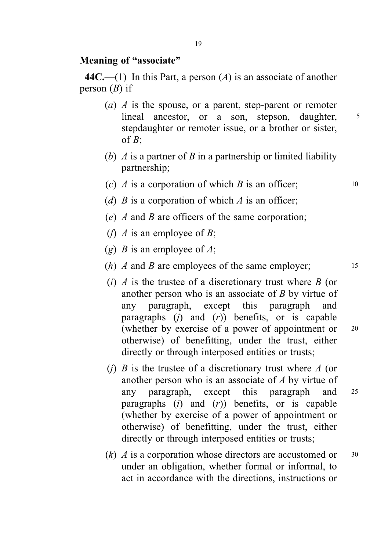### Meaning of "associate"

44C.—(1) In this Part, a person (A) is an associate of another person  $(B)$  if —

- (a)  $\Lambda$  is the spouse, or a parent, step-parent or remoter lineal ancestor, or a son, stepson, daughter, 5 stepdaughter or remoter issue, or a brother or sister, of  $B$ :
- (b) A is a partner of B in a partnership or limited liability partnership;
- (c)  $\vec{A}$  is a corporation of which  $\vec{B}$  is an officer; 10
- (d)  $B$  is a corporation of which  $A$  is an officer;
- (e)  $\Lambda$  and  $\Lambda$  are officers of the same corporation;
- (*f*) *A* is an employee of *B*;
- (g) *B* is an employee of *A*;
- (*h*) *A* and *B* are employees of the same employer;  $15$
- (i)  $\Lambda$  is the trustee of a discretionary trust where  $\tilde{B}$  (or another person who is an associate of B by virtue of any paragraph, except this paragraph and paragraphs  $(i)$  and  $(r)$ ) benefits, or is capable (whether by exercise of a power of appointment or <sup>20</sup> otherwise) of benefitting, under the trust, either directly or through interposed entities or trusts;
- (i) B is the trustee of a discretionary trust where  $A$  (or another person who is an associate of A by virtue of any paragraph, except this paragraph and <sup>25</sup> paragraphs  $(i)$  and  $(r)$ ) benefits, or is capable (whether by exercise of a power of appointment or otherwise) of benefitting, under the trust, either directly or through interposed entities or trusts;
- $(k)$  A is a corporation whose directors are accustomed or  $30$ under an obligation, whether formal or informal, to act in accordance with the directions, instructions or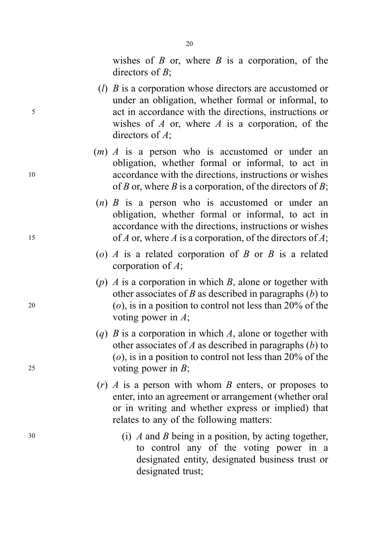wishes of  $B$  or, where  $B$  is a corporation, of the directors of  $B$ :

- ( $l$ )  $B$  is a corporation whose directors are accustomed or under an obligation, whether formal or informal, to <sup>5</sup> act in accordance with the directions, instructions or wishes of  $A$  or, where  $A$  is a corporation, of the directors of A;
- $(m)$  A is a person who is accustomed or under an obligation, whether formal or informal, to act in <sup>10</sup> accordance with the directions, instructions or wishes of B or, where B is a corporation, of the directors of B;
- $(n)$  B is a person who is accustomed or under an obligation, whether formal or informal, to act in accordance with the directions, instructions or wishes 15 of A or, where A is a corporation, of the directors of A;
	- (o)  $\Lambda$  is a related corporation of  $B$  or  $B$  is a related corporation of A;
- (p)  $\Lambda$  is a corporation in which  $B$ , alone or together with other associates of B as described in paragraphs  $(b)$  to 20 (*o*), is in a position to control not less than  $20\%$  of the voting power in A;
- (q)  $B$  is a corporation in which  $A$ , alone or together with other associates of A as described in paragraphs  $(b)$  to  $(o)$ , is in a position to control not less than 20% of the <sup>25</sup> voting power in B;
	- $(r)$  A is a person with whom B enters, or proposes to enter, into an agreement or arrangement (whether oral or in writing and whether express or implied) that relates to any of the following matters:
- <sup>30</sup> (i) A and B being in a position, by acting together, to control any of the voting power in a designated entity, designated business trust or designated trust;

20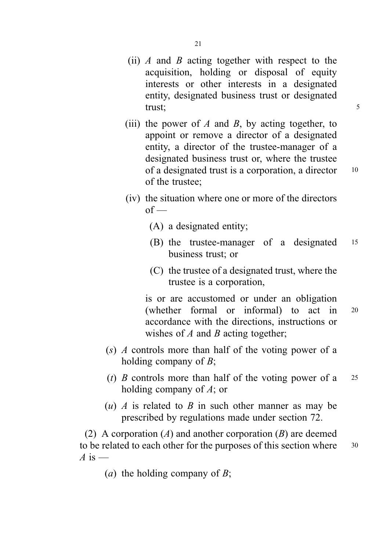- (ii) A and B acting together with respect to the acquisition, holding or disposal of equity interests or other interests in a designated entity, designated business trust or designated trust;  $\frac{1}{5}$
- (iii) the power of A and B, by acting together, to appoint or remove a director of a designated entity, a director of the trustee-manager of a designated business trust or, where the trustee of a designated trust is a corporation, a director 10 of the trustee;
- (iv) the situation where one or more of the directors  $of$  —
	- (A) a designated entity;
	- (B) the trustee-manager of a designated <sup>15</sup> business trust; or
	- (C) the trustee of a designated trust, where the trustee is a corporation,

is or are accustomed or under an obligation (whether formal or informal) to act in <sup>20</sup> accordance with the directions, instructions or wishes of  $A$  and  $B$  acting together;

- $(s)$  A controls more than half of the voting power of a holding company of  $B$ ;
- (t) B controls more than half of the voting power of a  $25$ holding company of A; or
- (u) A is related to B in such other manner as may be prescribed by regulations made under section 72.

(2) A corporation  $(A)$  and another corporation  $(B)$  are deemed to be related to each other for the purposes of this section where  $30$  $\overline{A}$  is —

(*a*) the holding company of  $B$ ;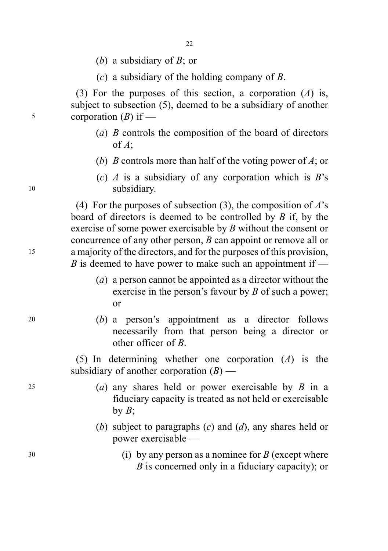- (b) a subsidiary of  $B$ ; or
- (c) a subsidiary of the holding company of  $B$ .

(3) For the purposes of this section, a corporation  $(A)$  is, subject to subsection (5), deemed to be a subsidiary of another  $5$  corporation (B) if —

- (a) B controls the composition of the board of directors of A;
- (b) B controls more than half of the voting power of A; or
- (c)  $\Lambda$  is a subsidiary of any corporation which is  $B$ 's 10 subsidiary.

(4) For the purposes of subsection (3), the composition of  $A$ 's board of directors is deemed to be controlled by  $B$  if, by the exercise of some power exercisable by B without the consent or concurrence of any other person, B can appoint or remove all or <sup>15</sup> a majority of the directors, and for the purposes of this provision, B is deemed to have power to make such an appointment if —

- (a) a person cannot be appointed as a director without the exercise in the person's favour by  $B$  of such a power; or
- <sup>20</sup> (b) a person's appointment as a director follows necessarily from that person being a director or other officer of B.

(5) In determining whether one corporation (A) is the subsidiary of another corporation  $(B)$  —

- 25 (a) any shares held or power exercisable by  $B$  in a fiduciary capacity is treated as not held or exercisable by  $B$ ;
	- (b) subject to paragraphs  $(c)$  and  $(d)$ , any shares held or power exercisable —
- $30$  (i) by any person as a nominee for B (except where B is concerned only in a fiduciary capacity); or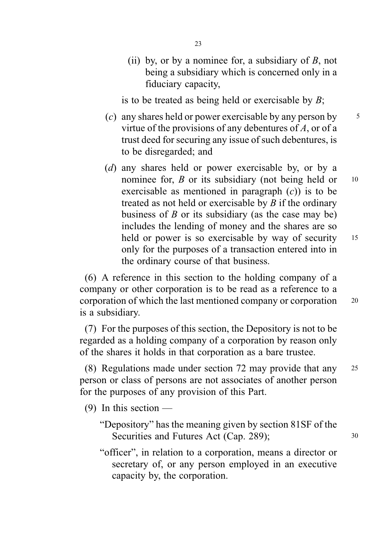(ii) by, or by a nominee for, a subsidiary of  $B$ , not being a subsidiary which is concerned only in a fiduciary capacity,

is to be treated as being held or exercisable by  $B$ ;

- (c) any shares held or power exercisable by any person by  $\frac{5}{5}$ virtue of the provisions of any debentures of  $A$ , or of a trust deed for securing any issue of such debentures, is to be disregarded; and
- (d) any shares held or power exercisable by, or by a nominee for,  $\hat{B}$  or its subsidiary (not being held or 10 exercisable as mentioned in paragraph  $(c)$  is to be treated as not held or exercisable by  $B$  if the ordinary business of  $B$  or its subsidiary (as the case may be) includes the lending of money and the shares are so held or power is so exercisable by way of security 15 only for the purposes of a transaction entered into in the ordinary course of that business.

(6) A reference in this section to the holding company of a company or other corporation is to be read as a reference to a corporation of which the last mentioned company or corporation <sup>20</sup> is a subsidiary.

(7) For the purposes of this section, the Depository is not to be regarded as a holding company of a corporation by reason only of the shares it holds in that corporation as a bare trustee.

(8) Regulations made under section 72 may provide that any <sup>25</sup> person or class of persons are not associates of another person for the purposes of any provision of this Part.

 $(9)$  In this section —

- "Depository" has the meaning given by section 81SF of the Securities and Futures Act (Cap. 289); 30
- "officer", in relation to a corporation, means a director or secretary of, or any person employed in an executive capacity by, the corporation.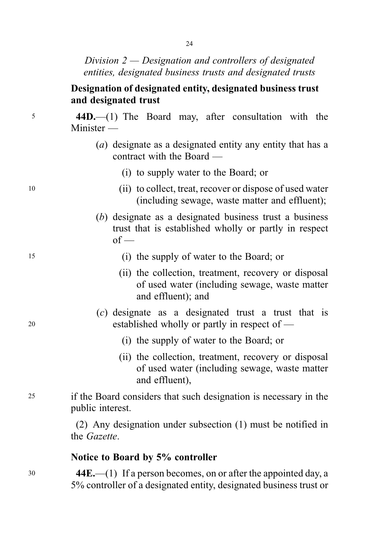Division 2 — Designation and controllers of designated entities, designated business trusts and designated trusts

# Designation of designated entity, designated business trust and designated trust

<sup>5</sup> 44D.—(1) The Board may, after consultation with the Minister —

- (a) designate as a designated entity any entity that has a contract with the Board —
	- (i) to supply water to the Board; or
- <sup>10</sup> (ii) to collect, treat, recover or dispose of used water (including sewage, waste matter and effluent);
	- (b) designate as a designated business trust a business trust that is established wholly or partly in respect  $of$  —
- <sup>15</sup> (i) the supply of water to the Board; or
	- (ii) the collection, treatment, recovery or disposal of used water (including sewage, waste matter and effluent); and
- (c) designate as a designated trust a trust that is <sup>20</sup> established wholly or partly in respect of —
	- (i) the supply of water to the Board; or
	- (ii) the collection, treatment, recovery or disposal of used water (including sewage, waste matter and effluent),
- <sup>25</sup> if the Board considers that such designation is necessary in the public interest.

(2) Any designation under subsection (1) must be notified in the Gazette.

## Notice to Board by 5% controller

<sup>30</sup> 44E.—(1) If a person becomes, on or after the appointed day, a 5% controller of a designated entity, designated business trust or

 $24$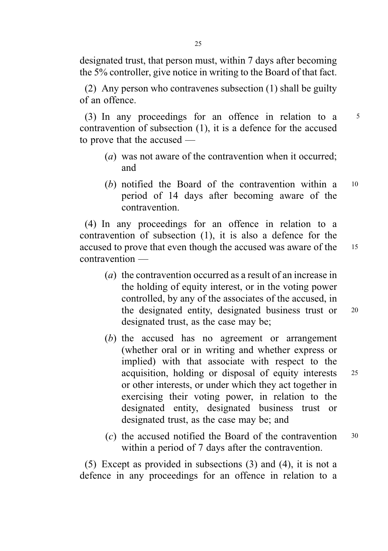designated trust, that person must, within 7 days after becoming the 5% controller, give notice in writing to the Board of that fact.

(2) Any person who contravenes subsection (1) shall be guilty of an offence.

(3) In any proceedings for an offence in relation to a <sup>5</sup> contravention of subsection (1), it is a defence for the accused to prove that the accused —

- (a) was not aware of the contravention when it occurred; and
- (b) notified the Board of the contravention within a 10 period of 14 days after becoming aware of the contravention.

(4) In any proceedings for an offence in relation to a contravention of subsection (1), it is also a defence for the accused to prove that even though the accused was aware of the <sup>15</sup> contravention —

- (a) the contravention occurred as a result of an increase in the holding of equity interest, or in the voting power controlled, by any of the associates of the accused, in the designated entity, designated business trust or <sup>20</sup> designated trust, as the case may be;
- (b) the accused has no agreement or arrangement (whether oral or in writing and whether express or implied) with that associate with respect to the acquisition, holding or disposal of equity interests <sup>25</sup> or other interests, or under which they act together in exercising their voting power, in relation to the designated entity, designated business trust or designated trust, as the case may be; and
- (c) the accused notified the Board of the contravention <sup>30</sup> within a period of 7 days after the contravention.

(5) Except as provided in subsections (3) and (4), it is not a defence in any proceedings for an offence in relation to a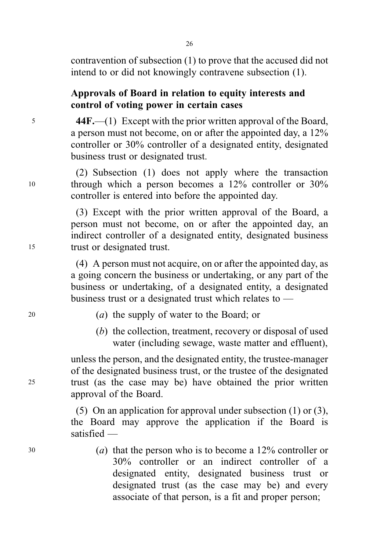26

contravention of subsection (1) to prove that the accused did not intend to or did not knowingly contravene subsection (1).

# Approvals of Board in relation to equity interests and control of voting power in certain cases

<sup>5</sup> 44F.—(1) Except with the prior written approval of the Board, a person must not become, on or after the appointed day, a 12% controller or 30% controller of a designated entity, designated business trust or designated trust.

(2) Subsection (1) does not apply where the transaction <sup>10</sup> through which a person becomes a 12% controller or 30% controller is entered into before the appointed day.

(3) Except with the prior written approval of the Board, a person must not become, on or after the appointed day, an indirect controller of a designated entity, designated business <sup>15</sup> trust or designated trust.

> (4) A person must not acquire, on or after the appointed day, as a going concern the business or undertaking, or any part of the business or undertaking, of a designated entity, a designated business trust or a designated trust which relates to —

- <sup>20</sup> (a) the supply of water to the Board; or
	- (b) the collection, treatment, recovery or disposal of used water (including sewage, waste matter and effluent),

unless the person, and the designated entity, the trustee-manager of the designated business trust, or the trustee of the designated <sup>25</sup> trust (as the case may be) have obtained the prior written approval of the Board.

> (5) On an application for approval under subsection (1) or (3), the Board may approve the application if the Board is satisfied —

 $(a)$  that the person who is to become a 12% controller or 30% controller or an indirect controller of a designated entity, designated business trust or designated trust (as the case may be) and every associate of that person, is a fit and proper person;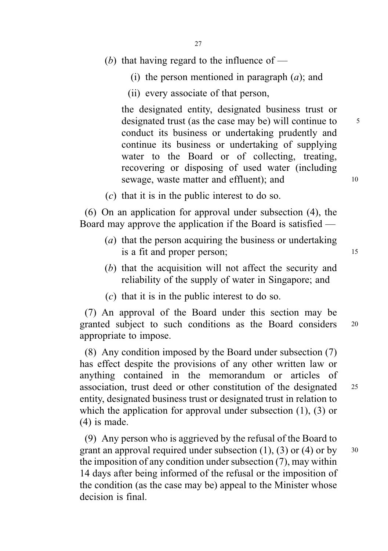- (b) that having regard to the influence of  $-$ 
	- (i) the person mentioned in paragraph  $(a)$ ; and
	- (ii) every associate of that person,

the designated entity, designated business trust or designated trust (as the case may be) will continue to  $\frac{5}{5}$ conduct its business or undertaking prudently and continue its business or undertaking of supplying water to the Board or of collecting, treating, recovering or disposing of used water (including sewage, waste matter and effluent); and 10

 $(c)$  that it is in the public interest to do so.

(6) On an application for approval under subsection (4), the Board may approve the application if the Board is satisfied —

- (a) that the person acquiring the business or undertaking is a fit and proper person; 15
- (b) that the acquisition will not affect the security and reliability of the supply of water in Singapore; and
- (c) that it is in the public interest to do so.

(7) An approval of the Board under this section may be granted subject to such conditions as the Board considers <sup>20</sup> appropriate to impose.

(8) Any condition imposed by the Board under subsection (7) has effect despite the provisions of any other written law or anything contained in the memorandum or articles of association, trust deed or other constitution of the designated <sup>25</sup> entity, designated business trust or designated trust in relation to which the application for approval under subsection (1), (3) or (4) is made.

(9) Any person who is aggrieved by the refusal of the Board to grant an approval required under subsection (1), (3) or (4) or by  $30$ the imposition of any condition under subsection (7), may within 14 days after being informed of the refusal or the imposition of the condition (as the case may be) appeal to the Minister whose decision is final.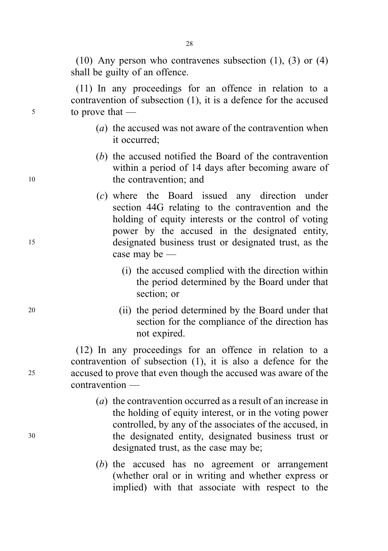(10) Any person who contravenes subsection (1), (3) or (4) shall be guilty of an offence.

(11) In any proceedings for an offence in relation to a contravention of subsection (1), it is a defence for the accused <sup>5</sup> to prove that —

- (a) the accused was not aware of the contravention when it occurred;
- (b) the accused notified the Board of the contravention within a period of 14 days after becoming aware of 10 the contravention; and
- (c) where the Board issued any direction under section 44G relating to the contravention and the holding of equity interests or the control of voting power by the accused in the designated entity, <sup>15</sup> designated business trust or designated trust, as the case may be —
	- (i) the accused complied with the direction within the period determined by the Board under that section; or
- <sup>20</sup> (ii) the period determined by the Board under that section for the compliance of the direction has not expired.

(12) In any proceedings for an offence in relation to a contravention of subsection (1), it is also a defence for the <sup>25</sup> accused to prove that even though the accused was aware of the contravention —

- (a) the contravention occurred as a result of an increase in the holding of equity interest, or in the voting power controlled, by any of the associates of the accused, in <sup>30</sup> the designated entity, designated business trust or designated trust, as the case may be;
	- (b) the accused has no agreement or arrangement (whether oral or in writing and whether express or implied) with that associate with respect to the

28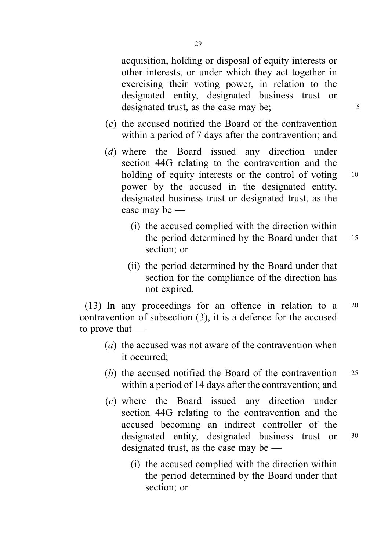acquisition, holding or disposal of equity interests or other interests, or under which they act together in exercising their voting power, in relation to the designated entity, designated business trust or designated trust, as the case may be;  $\frac{5}{5}$ 

- (c) the accused notified the Board of the contravention within a period of 7 days after the contravention; and
- (d) where the Board issued any direction under section 44G relating to the contravention and the holding of equity interests or the control of voting 10 power by the accused in the designated entity, designated business trust or designated trust, as the case may be —
	- (i) the accused complied with the direction within the period determined by the Board under that 15 section; or
	- (ii) the period determined by the Board under that section for the compliance of the direction has not expired.

(13) In any proceedings for an offence in relation to a <sup>20</sup> contravention of subsection (3), it is a defence for the accused to prove that —

- (a) the accused was not aware of the contravention when it occurred;
- (b) the accused notified the Board of the contravention 25 within a period of 14 days after the contravention; and
- (c) where the Board issued any direction under section 44G relating to the contravention and the accused becoming an indirect controller of the designated entity, designated business trust or <sup>30</sup> designated trust, as the case may be —
	- (i) the accused complied with the direction within the period determined by the Board under that section; or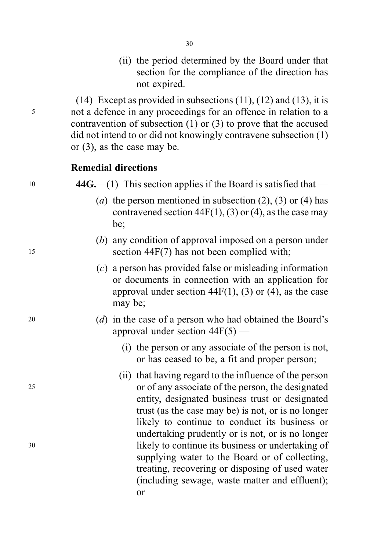(ii) the period determined by the Board under that section for the compliance of the direction has not expired.

 $(14)$  Except as provided in subsections  $(11)$ ,  $(12)$  and  $(13)$ , it is <sup>5</sup> not a defence in any proceedings for an offence in relation to a contravention of subsection (1) or (3) to prove that the accused did not intend to or did not knowingly contravene subsection (1) or (3), as the case may be.

#### Remedial directions

 $10 \qquad \qquad 44G$ . (1) This section applies if the Board is satisfied that —

- (a) the person mentioned in subsection  $(2)$ ,  $(3)$  or  $(4)$  has contravened section  $44F(1)$ , (3) or (4), as the case may be;
- (b) any condition of approval imposed on a person under <sup>15</sup> section 44F(7) has not been complied with;
	- (c) a person has provided false or misleading information or documents in connection with an application for approval under section 44 $F(1)$ , (3) or (4), as the case may be;
- <sup>20</sup> (d) in the case of a person who had obtained the Board's approval under section 44F(5) —
	- (i) the person or any associate of the person is not, or has ceased to be, a fit and proper person;
- (ii) that having regard to the influence of the person <sup>25</sup> or of any associate of the person, the designated entity, designated business trust or designated trust (as the case may be) is not, or is no longer likely to continue to conduct its business or undertaking prudently or is not, or is no longer <sup>30</sup> likely to continue its business or undertaking of supplying water to the Board or of collecting, treating, recovering or disposing of used water (including sewage, waste matter and effluent); or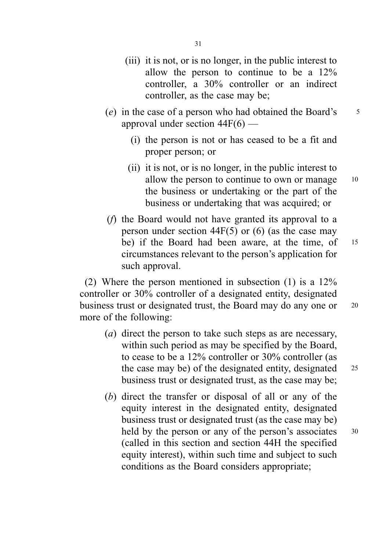- (iii) it is not, or is no longer, in the public interest to allow the person to continue to be a 12% controller, a 30% controller or an indirect controller, as the case may be;
- (e) in the case of a person who had obtained the Board's  $\frac{5}{5}$ approval under section 44F(6) —
	- (i) the person is not or has ceased to be a fit and proper person; or
	- (ii) it is not, or is no longer, in the public interest to allow the person to continue to own or manage 10 the business or undertaking or the part of the business or undertaking that was acquired; or
- (f) the Board would not have granted its approval to a person under section  $44F(5)$  or (6) (as the case may be) if the Board had been aware, at the time, of 15 circumstances relevant to the person's application for such approval.

(2) Where the person mentioned in subsection (1) is a 12% controller or 30% controller of a designated entity, designated business trust or designated trust, the Board may do any one or <sup>20</sup> more of the following:

- (a) direct the person to take such steps as are necessary, within such period as may be specified by the Board, to cease to be a 12% controller or 30% controller (as the case may be) of the designated entity, designated  $25$ business trust or designated trust, as the case may be;
- (b) direct the transfer or disposal of all or any of the equity interest in the designated entity, designated business trust or designated trust (as the case may be) held by the person or any of the person's associates 30 (called in this section and section 44H the specified equity interest), within such time and subject to such conditions as the Board considers appropriate;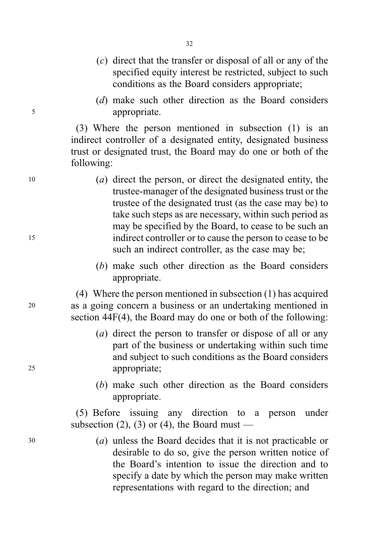- (c) direct that the transfer or disposal of all or any of the specified equity interest be restricted, subject to such conditions as the Board considers appropriate;
- (d) make such other direction as the Board considers <sup>5</sup> appropriate.

(3) Where the person mentioned in subsection (1) is an indirect controller of a designated entity, designated business trust or designated trust, the Board may do one or both of the following:

- <sup>10</sup> (a) direct the person, or direct the designated entity, the trustee-manager of the designated business trust or the trustee of the designated trust (as the case may be) to take such steps as are necessary, within such period as may be specified by the Board, to cease to be such an <sup>15</sup> indirect controller or to cause the person to cease to be such an indirect controller, as the case may be;
	- (b) make such other direction as the Board considers appropriate.

(4) Where the person mentioned in subsection (1) has acquired <sup>20</sup> as a going concern a business or an undertaking mentioned in section 44F(4), the Board may do one or both of the following:

- (a) direct the person to transfer or dispose of all or any part of the business or undertaking within such time and subject to such conditions as the Board considers <sup>25</sup> appropriate;
	- (b) make such other direction as the Board considers appropriate.

(5) Before issuing any direction to a person under subsection (2), (3) or (4), the Board must —

<sup>30</sup> (a) unless the Board decides that it is not practicable or desirable to do so, give the person written notice of the Board's intention to issue the direction and to specify a date by which the person may make written representations with regard to the direction; and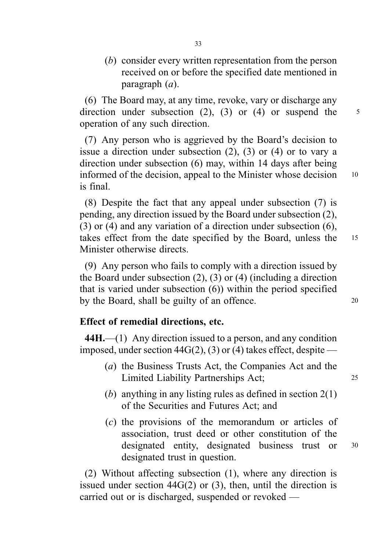(b) consider every written representation from the person received on or before the specified date mentioned in paragraph (a).

(6) The Board may, at any time, revoke, vary or discharge any direction under subsection  $(2)$ ,  $(3)$  or  $(4)$  or suspend the  $5$ operation of any such direction.

(7) Any person who is aggrieved by the Board's decision to issue a direction under subsection (2), (3) or (4) or to vary a direction under subsection (6) may, within 14 days after being informed of the decision, appeal to the Minister whose decision 10 is final.

(8) Despite the fact that any appeal under subsection (7) is pending, any direction issued by the Board under subsection (2), (3) or (4) and any variation of a direction under subsection (6), takes effect from the date specified by the Board, unless the <sup>15</sup> Minister otherwise directs.

(9) Any person who fails to comply with a direction issued by the Board under subsection (2), (3) or (4) (including a direction that is varied under subsection (6)) within the period specified by the Board, shall be guilty of an offence. 20

# Effect of remedial directions, etc.

44H.—(1) Any direction issued to a person, and any condition imposed, under section  $44G(2)$ , (3) or (4) takes effect, despite —

- (a) the Business Trusts Act, the Companies Act and the Limited Liability Partnerships Act; <sup>25</sup>
- (b) anything in any listing rules as defined in section  $2(1)$ of the Securities and Futures Act; and
- (c) the provisions of the memorandum or articles of association, trust deed or other constitution of the designated entity, designated business trust or <sup>30</sup> designated trust in question.

(2) Without affecting subsection (1), where any direction is issued under section  $44G(2)$  or  $(3)$ , then, until the direction is carried out or is discharged, suspended or revoked —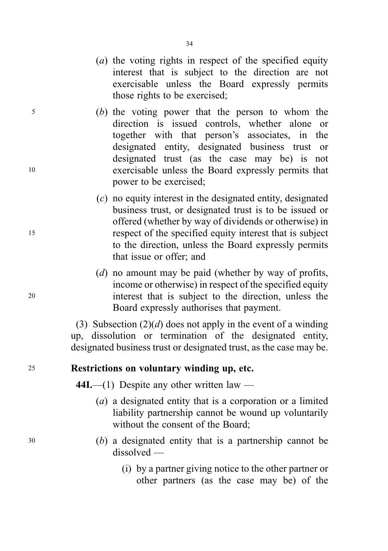- (a) the voting rights in respect of the specified equity interest that is subject to the direction are not exercisable unless the Board expressly permits those rights to be exercised;
- <sup>5</sup> (b) the voting power that the person to whom the direction is issued controls, whether alone or together with that person's associates, in the designated entity, designated business trust or designated trust (as the case may be) is not <sup>10</sup> exercisable unless the Board expressly permits that power to be exercised;
- (c) no equity interest in the designated entity, designated business trust, or designated trust is to be issued or offered (whether by way of dividends or otherwise) in <sup>15</sup> respect of the specified equity interest that is subject to the direction, unless the Board expressly permits that issue or offer; and
- (d) no amount may be paid (whether by way of profits, income or otherwise) in respect of the specified equity <sup>20</sup> interest that is subject to the direction, unless the Board expressly authorises that payment.

(3) Subsection  $(2)(d)$  does not apply in the event of a winding up, dissolution or termination of the designated entity, designated business trust or designated trust, as the case may be.

### <sup>25</sup> Restrictions on voluntary winding up, etc.

44I.—(1) Despite any other written law —

- (a) a designated entity that is a corporation or a limited liability partnership cannot be wound up voluntarily without the consent of the Board;
- <sup>30</sup> (b) a designated entity that is a partnership cannot be dissolved —
	- (i) by a partner giving notice to the other partner or other partners (as the case may be) of the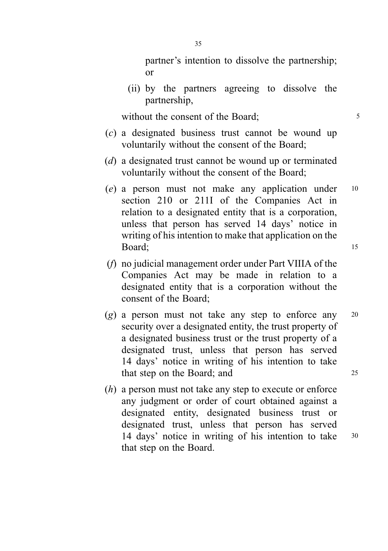partner's intention to dissolve the partnership; or

(ii) by the partners agreeing to dissolve the partnership,

without the consent of the Board;  $\frac{5}{5}$ 

- (c) a designated business trust cannot be wound up voluntarily without the consent of the Board;
- (d) a designated trust cannot be wound up or terminated voluntarily without the consent of the Board;
- (e) a person must not make any application under <sup>10</sup> section 210 or 211I of the Companies Act in relation to a designated entity that is a corporation, unless that person has served 14 days' notice in writing of his intention to make that application on the Board; 15
- (f) no judicial management order under Part VIIIA of the Companies Act may be made in relation to a designated entity that is a corporation without the consent of the Board;
- $(g)$  a person must not take any step to enforce any 20 security over a designated entity, the trust property of a designated business trust or the trust property of a designated trust, unless that person has served 14 days' notice in writing of his intention to take that step on the Board; and 25
- (h) a person must not take any step to execute or enforce any judgment or order of court obtained against a designated entity, designated business trust or designated trust, unless that person has served 14 days' notice in writing of his intention to take <sup>30</sup> that step on the Board.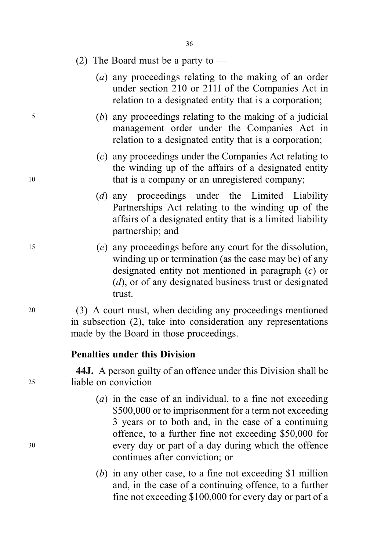#### (2) The Board must be a party to —

- (a) any proceedings relating to the making of an order under section 210 or 211I of the Companies Act in relation to a designated entity that is a corporation;
- <sup>5</sup> (b) any proceedings relating to the making of a judicial management order under the Companies Act in relation to a designated entity that is a corporation;
- (c) any proceedings under the Companies Act relating to the winding up of the affairs of a designated entity 10 that is a company or an unregistered company;
	- (d) any proceedings under the Limited Liability Partnerships Act relating to the winding up of the affairs of a designated entity that is a limited liability partnership; and
- <sup>15</sup> (e) any proceedings before any court for the dissolution, winding up or termination (as the case may be) of any designated entity not mentioned in paragraph (c) or (d), or of any designated business trust or designated trust.

<sup>20</sup> (3) A court must, when deciding any proceedings mentioned in subsection (2), take into consideration any representations made by the Board in those proceedings.

### Penalties under this Division

44J. A person guilty of an offence under this Division shall be <sup>25</sup> liable on conviction —

- $(a)$  in the case of an individual, to a fine not exceeding \$500,000 or to imprisonment for a term not exceeding 3 years or to both and, in the case of a continuing offence, to a further fine not exceeding \$50,000 for <sup>30</sup> every day or part of a day during which the offence continues after conviction; or
	- (b) in any other case, to a fine not exceeding \$1 million and, in the case of a continuing offence, to a further fine not exceeding \$100,000 for every day or part of a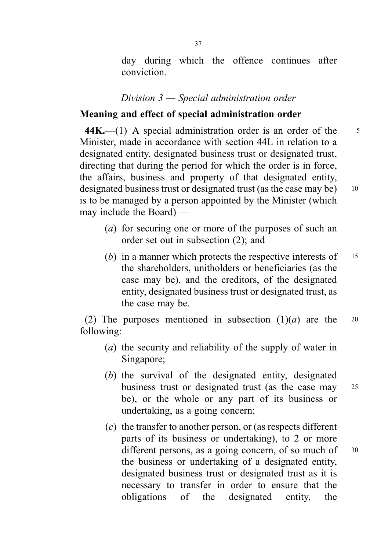day during which the offence continues after conviction.

### Division 3 — Special administration order

## Meaning and effect of special administration order

 $44K$ —(1) A special administration order is an order of the  $5$ Minister, made in accordance with section 44L in relation to a designated entity, designated business trust or designated trust, directing that during the period for which the order is in force, the affairs, business and property of that designated entity, designated business trust or designated trust (as the case may be) 10 is to be managed by a person appointed by the Minister (which may include the Board) —

- (a) for securing one or more of the purposes of such an order set out in subsection (2); and
- (b) in a manner which protects the respective interests of  $15$ the shareholders, unitholders or beneficiaries (as the case may be), and the creditors, of the designated entity, designated business trust or designated trust, as the case may be.

(2) The purposes mentioned in subsection  $(1)(a)$  are the 20 following:

- (a) the security and reliability of the supply of water in Singapore;
- (b) the survival of the designated entity, designated business trust or designated trust (as the case may <sup>25</sup> be), or the whole or any part of its business or undertaking, as a going concern;
- (c) the transfer to another person, or (as respects different parts of its business or undertaking), to 2 or more different persons, as a going concern, of so much of  $30$ the business or undertaking of a designated entity, designated business trust or designated trust as it is necessary to transfer in order to ensure that the obligations of the designated entity, the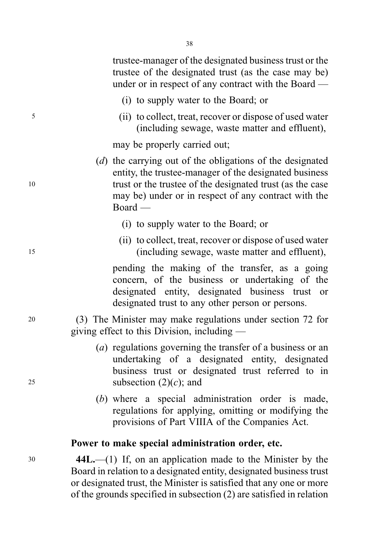trustee-manager of the designated business trust or the trustee of the designated trust (as the case may be) under or in respect of any contract with the Board —

(i) to supply water to the Board; or

<sup>5</sup> (ii) to collect, treat, recover or dispose of used water (including sewage, waste matter and effluent),

may be properly carried out;

- (d) the carrying out of the obligations of the designated entity, the trustee-manager of the designated business <sup>10</sup> trust or the trustee of the designated trust (as the case may be) under or in respect of any contract with the Board —
	- (i) to supply water to the Board; or
- (ii) to collect, treat, recover or dispose of used water <sup>15</sup> (including sewage, waste matter and effluent),

pending the making of the transfer, as a going concern, of the business or undertaking of the designated entity, designated business trust or designated trust to any other person or persons.

<sup>20</sup> (3) The Minister may make regulations under section 72 for giving effect to this Division, including —

- (a) regulations governing the transfer of a business or an undertaking of a designated entity, designated business trust or designated trust referred to in 25 subsection  $(2)(c)$ ; and
	- (b) where a special administration order is made, regulations for applying, omitting or modifying the provisions of Part VIIIA of the Companies Act.

#### Power to make special administration order, etc.

<sup>30</sup> 44L.—(1) If, on an application made to the Minister by the Board in relation to a designated entity, designated business trust or designated trust, the Minister is satisfied that any one or more of the grounds specified in subsection (2) are satisfied in relation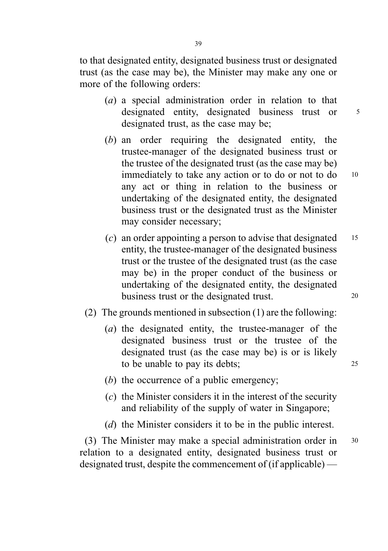to that designated entity, designated business trust or designated trust (as the case may be), the Minister may make any one or more of the following orders:

- (a) a special administration order in relation to that designated entity, designated business trust or  $5$ designated trust, as the case may be;
- (b) an order requiring the designated entity, the trustee-manager of the designated business trust or the trustee of the designated trust (as the case may be) immediately to take any action or to do or not to do 10 any act or thing in relation to the business or undertaking of the designated entity, the designated business trust or the designated trust as the Minister may consider necessary;
- (c) an order appointing a person to advise that designated  $15$ entity, the trustee-manager of the designated business trust or the trustee of the designated trust (as the case may be) in the proper conduct of the business or undertaking of the designated entity, the designated business trust or the designated trust.
- (2) The grounds mentioned in subsection (1) are the following:
	- (a) the designated entity, the trustee-manager of the designated business trust or the trustee of the designated trust (as the case may be) is or is likely to be unable to pay its debts; 25
	- (b) the occurrence of a public emergency;
	- $(c)$  the Minister considers it in the interest of the security and reliability of the supply of water in Singapore;
	- (d) the Minister considers it to be in the public interest.

(3) The Minister may make a special administration order in <sup>30</sup> relation to a designated entity, designated business trust or designated trust, despite the commencement of (if applicable) —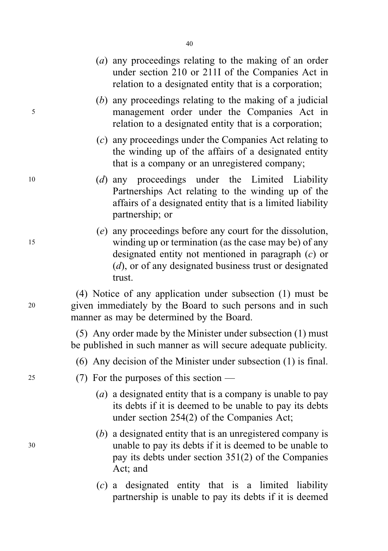|    | $(a)$ any proceedings relating to the making of an order<br>under section 210 or 211I of the Companies Act in<br>relation to a designated entity that is a corporation;                                                                            |
|----|----------------------------------------------------------------------------------------------------------------------------------------------------------------------------------------------------------------------------------------------------|
| 5  | $(b)$ any proceedings relating to the making of a judicial<br>management order under the Companies Act in<br>relation to a designated entity that is a corporation;                                                                                |
|    | $(c)$ any proceedings under the Companies Act relating to<br>the winding up of the affairs of a designated entity<br>that is a company or an unregistered company;                                                                                 |
| 10 | (d) any proceedings under the Limited Liability<br>Partnerships Act relating to the winding up of the<br>affairs of a designated entity that is a limited liability<br>partnership; or                                                             |
| 15 | (e) any proceedings before any court for the dissolution,<br>winding up or termination (as the case may be) of any<br>designated entity not mentioned in paragraph $(c)$ or<br>$(d)$ , or of any designated business trust or designated<br>trust. |
| 20 | (4) Notice of any application under subsection (1) must be<br>given immediately by the Board to such persons and in such<br>manner as may be determined by the Board.                                                                              |
|    | (5) Any order made by the Minister under subsection (1) must<br>be published in such manner as will secure adequate publicity.                                                                                                                     |
|    | $(6)$ Any decision of the Minister under subsection $(1)$ is final.                                                                                                                                                                                |
| 25 | (7) For the purposes of this section —                                                                                                                                                                                                             |
|    | (a) a designated entity that is a company is unable to pay<br>its debts if it is deemed to be unable to pay its debts<br>under section $254(2)$ of the Companies Act;                                                                              |
| 30 | $(b)$ a designated entity that is an unregistered company is<br>unable to pay its debts if it is deemed to be unable to<br>pay its debts under section $351(2)$ of the Companies<br>Act; and                                                       |
|    | $(c)$ a designated entity that is a limited liability<br>partnership is unable to pay its debts if it is deemed                                                                                                                                    |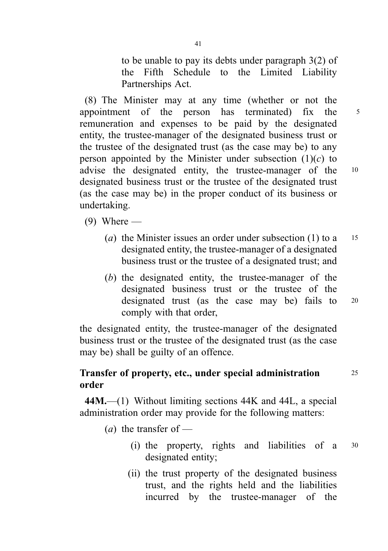to be unable to pay its debts under paragraph 3(2) of the Fifth Schedule to the Limited Liability Partnerships Act.

(8) The Minister may at any time (whether or not the appointment of the person has terminated) fix the <sup>5</sup> remuneration and expenses to be paid by the designated entity, the trustee-manager of the designated business trust or the trustee of the designated trust (as the case may be) to any person appointed by the Minister under subsection  $(1)(c)$  to advise the designated entity, the trustee-manager of the <sup>10</sup> designated business trust or the trustee of the designated trust (as the case may be) in the proper conduct of its business or undertaking.

 $(9)$  Where —

- (a) the Minister issues an order under subsection (1) to a  $15$ designated entity, the trustee-manager of a designated business trust or the trustee of a designated trust; and
- (b) the designated entity, the trustee-manager of the designated business trust or the trustee of the designated trust (as the case may be) fails to <sup>20</sup> comply with that order,

the designated entity, the trustee-manager of the designated business trust or the trustee of the designated trust (as the case may be) shall be guilty of an offence.

# Transfer of property, etc., under special administration <sup>25</sup> order

44M.—(1) Without limiting sections 44K and 44L, a special administration order may provide for the following matters:

- $(a)$  the transfer of
	- (i) the property, rights and liabilities of a <sup>30</sup> designated entity;
	- (ii) the trust property of the designated business trust, and the rights held and the liabilities incurred by the trustee-manager of the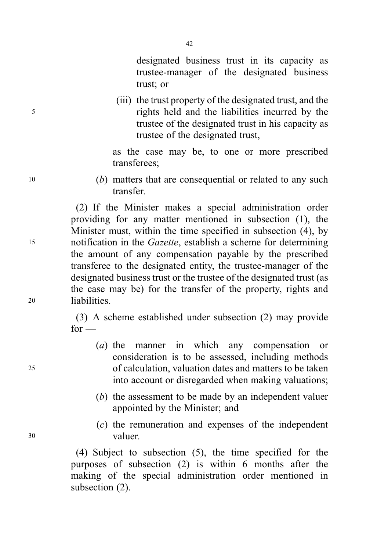designated business trust in its capacity as trustee-manager of the designated business trust; or

(iii) the trust property of the designated trust, and the <sup>5</sup> rights held and the liabilities incurred by the trustee of the designated trust in his capacity as trustee of the designated trust,

> as the case may be, to one or more prescribed transferees;

<sup>10</sup> (b) matters that are consequential or related to any such transfer.

(2) If the Minister makes a special administration order providing for any matter mentioned in subsection (1), the Minister must, within the time specified in subsection (4), by <sup>15</sup> notification in the Gazette, establish a scheme for determining the amount of any compensation payable by the prescribed transferee to the designated entity, the trustee-manager of the designated business trust or the trustee of the designated trust (as the case may be) for the transfer of the property, rights and <sup>20</sup> liabilities.

> (3) A scheme established under subsection (2) may provide  $for -$

- (a) the manner in which any compensation or consideration is to be assessed, including methods <sup>25</sup> of calculation, valuation dates and matters to be taken into account or disregarded when making valuations;
	- (b) the assessment to be made by an independent valuer appointed by the Minister; and
- (c) the remuneration and expenses of the independent <sup>30</sup> valuer.

(4) Subject to subsection (5), the time specified for the purposes of subsection (2) is within 6 months after the making of the special administration order mentioned in subsection (2).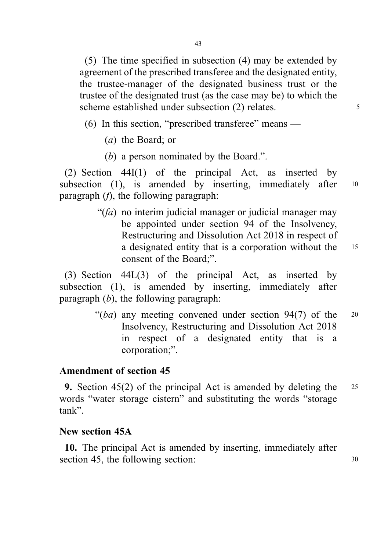(5) The time specified in subsection (4) may be extended by agreement of the prescribed transferee and the designated entity, the trustee-manager of the designated business trust or the trustee of the designated trust (as the case may be) to which the scheme established under subsection (2) relates.

(6) In this section, "prescribed transferee" means —

- (a) the Board; or
- (b) a person nominated by the Board.".

(2) Section 44I(1) of the principal Act, as inserted by subsection (1), is amended by inserting, immediately after 10 paragraph  $(f)$ , the following paragraph:

> " $(fa)$  no interim judicial manager or judicial manager may be appointed under section 94 of the Insolvency, Restructuring and Dissolution Act 2018 in respect of a designated entity that is a corporation without the <sup>15</sup> consent of the Board;".

(3) Section 44L(3) of the principal Act, as inserted by subsection (1), is amended by inserting, immediately after paragraph  $(b)$ , the following paragraph:

> " $(ba)$  any meeting convened under section 94(7) of the 20 Insolvency, Restructuring and Dissolution Act 2018 in respect of a designated entity that is a corporation;".

#### Amendment of section 45

9. Section 45(2) of the principal Act is amended by deleting the <sup>25</sup> words "water storage cistern" and substituting the words "storage tank".

# New section 45A

10. The principal Act is amended by inserting, immediately after section 45, the following section: 30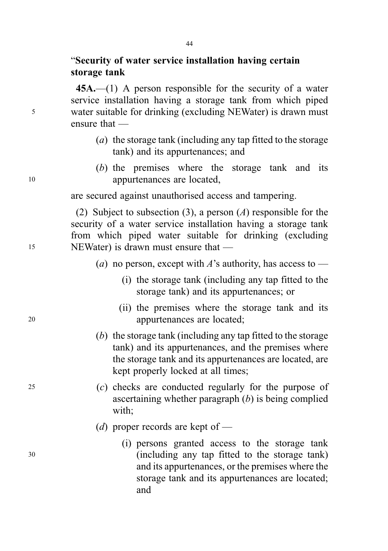# "Security of water service installation having certain storage tank

45A.—(1) A person responsible for the security of a water service installation having a storage tank from which piped <sup>5</sup> water suitable for drinking (excluding NEWater) is drawn must ensure that —

- (a) the storage tank (including any tap fitted to the storage tank) and its appurtenances; and
- (b) the premises where the storage tank and its <sup>10</sup> appurtenances are located,

are secured against unauthorised access and tampering.

(2) Subject to subsection (3), a person (A) responsible for the security of a water service installation having a storage tank from which piped water suitable for drinking (excluding <sup>15</sup> NEWater) is drawn must ensure that —

- (a) no person, except with A's authority, has access to
	- (i) the storage tank (including any tap fitted to the storage tank) and its appurtenances; or
- (ii) the premises where the storage tank and its <sup>20</sup> appurtenances are located;
	- (b) the storage tank (including any tap fitted to the storage tank) and its appurtenances, and the premises where the storage tank and its appurtenances are located, are kept properly locked at all times;
- <sup>25</sup> (c) checks are conducted regularly for the purpose of ascertaining whether paragraph  $(b)$  is being complied with;
	- (d) proper records are kept of  $-$
- (i) persons granted access to the storage tank <sup>30</sup> (including any tap fitted to the storage tank) and its appurtenances, or the premises where the storage tank and its appurtenances are located; and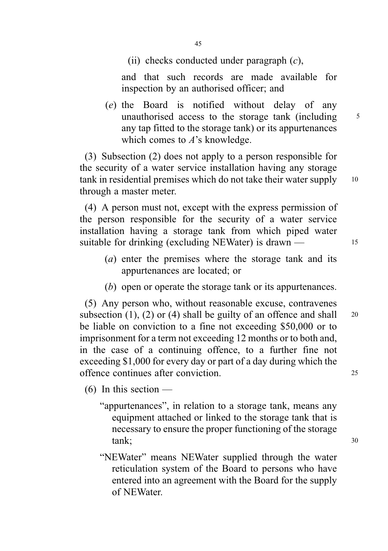(ii) checks conducted under paragraph  $(c)$ ,

and that such records are made available for inspection by an authorised officer; and

(e) the Board is notified without delay of any unauthorised access to the storage tank (including 5 any tap fitted to the storage tank) or its appurtenances which comes to A's knowledge.

(3) Subsection (2) does not apply to a person responsible for the security of a water service installation having any storage tank in residential premises which do not take their water supply <sup>10</sup> through a master meter.

(4) A person must not, except with the express permission of the person responsible for the security of a water service installation having a storage tank from which piped water suitable for drinking (excluding NEWater) is drawn — 15

- (a) enter the premises where the storage tank and its appurtenances are located; or
- (b) open or operate the storage tank or its appurtenances.

(5) Any person who, without reasonable excuse, contravenes subsection (1), (2) or (4) shall be guilty of an offence and shall  $\frac{20}{2}$ be liable on conviction to a fine not exceeding \$50,000 or to imprisonment for a term not exceeding 12 months or to both and, in the case of a continuing offence, to a further fine not exceeding \$1,000 for every day or part of a day during which the offence continues after conviction. <sup>25</sup>

 $(6)$  In this section —

- "appurtenances", in relation to a storage tank, means any equipment attached or linked to the storage tank that is necessary to ensure the proper functioning of the storage  $tank;$  30
- "NEWater" means NEWater supplied through the water reticulation system of the Board to persons who have entered into an agreement with the Board for the supply of NEWater.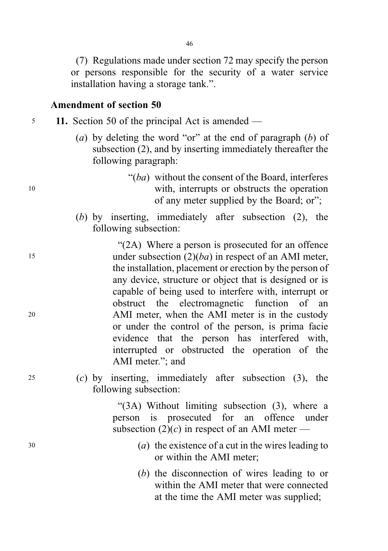(7) Regulations made under section 72 may specify the person or persons responsible for the security of a water service installation having a storage tank.".

#### Amendment of section 50

- <sup>5</sup> 11. Section 50 of the principal Act is amended
	- (a) by deleting the word "or" at the end of paragraph  $(b)$  of subsection (2), and by inserting immediately thereafter the following paragraph:
- " $(ba)$  without the consent of the Board, interferes <sup>10</sup> with, interrupts or obstructs the operation of any meter supplied by the Board; or";
	- (b) by inserting, immediately after subsection (2), the following subsection:

"(2A) Where a person is prosecuted for an offence <sup>15</sup> under subsection (2)(ba) in respect of an AMI meter, the installation, placement or erection by the person of any device, structure or object that is designed or is capable of being used to interfere with, interrupt or obstruct the electromagnetic function of an <sup>20</sup> AMI meter, when the AMI meter is in the custody or under the control of the person, is prima facie evidence that the person has interfered with, interrupted or obstructed the operation of the AMI meter."; and

<sup>25</sup> (c) by inserting, immediately after subsection (3), the following subsection:

> "(3A) Without limiting subsection (3), where a person is prosecuted for an offence under subsection  $(2)(c)$  in respect of an AMI meter —

- <sup>30</sup> (a) the existence of a cut in the wires leading to or within the AMI meter;
	- (b) the disconnection of wires leading to or within the AMI meter that were connected at the time the AMI meter was supplied;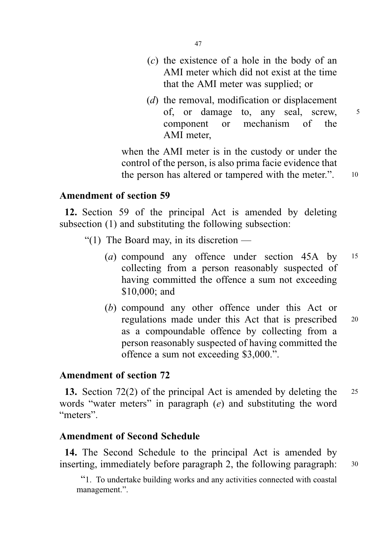- (c) the existence of a hole in the body of an AMI meter which did not exist at the time that the AMI meter was supplied; or
- (d) the removal, modification or displacement of, or damage to, any seal, screw, 5 component or mechanism of the AMI meter,

when the AMI meter is in the custody or under the control of the person, is also prima facie evidence that the person has altered or tampered with the meter.". 10

Amendment of section 59

12. Section 59 of the principal Act is amended by deleting subsection (1) and substituting the following subsection:

- "(1) The Board may, in its discretion
	- (a) compound any offence under section 45A by <sup>15</sup> collecting from a person reasonably suspected of having committed the offence a sum not exceeding \$10,000; and
	- (b) compound any other offence under this Act or regulations made under this Act that is prescribed <sup>20</sup> as a compoundable offence by collecting from a person reasonably suspected of having committed the offence a sum not exceeding \$3,000.".

# Amendment of section 72

13. Section 72(2) of the principal Act is amended by deleting the 25 words "water meters" in paragraph (e) and substituting the word "meters".

# Amendment of Second Schedule

14. The Second Schedule to the principal Act is amended by inserting, immediately before paragraph 2, the following paragraph: 30

"1. To undertake building works and any activities connected with coastal management.".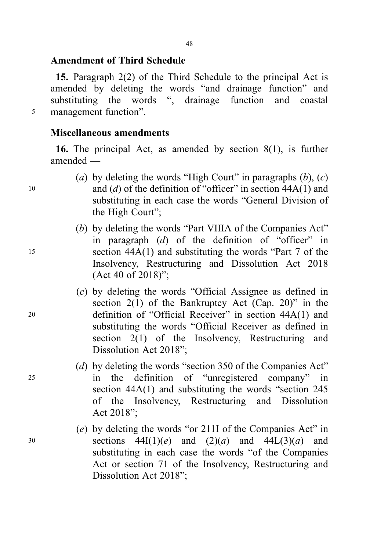15. Paragraph 2(2) of the Third Schedule to the principal Act is amended by deleting the words "and drainage function" and substituting the words ", drainage function and coastal <sup>5</sup> management function".

### Miscellaneous amendments

16. The principal Act, as amended by section 8(1), is further amended —

- (a) by deleting the words "High Court" in paragraphs  $(b)$ ,  $(c)$ 10 and (d) of the definition of "officer" in section  $44A(1)$  and substituting in each case the words "General Division of the High Court";
- (b) by deleting the words "Part VIIIA of the Companies Act" in paragraph  $(d)$  of the definition of "officer" in <sup>15</sup> section 44A(1) and substituting the words "Part 7 of the Insolvency, Restructuring and Dissolution Act 2018 (Act 40 of 2018)";
- (c) by deleting the words "Official Assignee as defined in section  $2(1)$  of the Bankruptcy Act (Cap. 20)" in the <sup>20</sup> definition of "Official Receiver" in section 44A(1) and substituting the words "Official Receiver as defined in section 2(1) of the Insolvency, Restructuring and Dissolution Act 2018";
- (d) by deleting the words "section 350 of the Companies Act" <sup>25</sup> in the definition of "unregistered company" in section 44A(1) and substituting the words "section 245 of the Insolvency, Restructuring and Dissolution Act 2018";
- (e) by deleting the words "or 211I of the Companies Act" in 30 sections  $44I(1)(e)$  and  $(2)(a)$  and  $44L(3)(a)$  and substituting in each case the words "of the Companies Act or section 71 of the Insolvency, Restructuring and Dissolution Act 2018";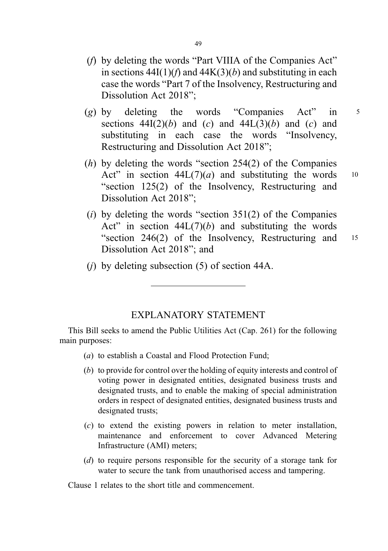- (f) by deleting the words "Part VIIIA of the Companies Act" in sections  $44I(1)(f)$  and  $44K(3)(b)$  and substituting in each case the words "Part 7 of the Insolvency, Restructuring and Dissolution Act 2018";
- (g) by deleting the words "Companies Act" in  $5$ sections  $44I(2)(b)$  and  $(c)$  and  $44L(3)(b)$  and  $(c)$  and substituting in each case the words "Insolvency, Restructuring and Dissolution Act 2018";
- (h) by deleting the words "section 254(2) of the Companies Act" in section  $44L(7)(a)$  and substituting the words 10 "section 125(2) of the Insolvency, Restructuring and Dissolution Act 2018";
- (i) by deleting the words "section  $351(2)$  of the Companies Act" in section  $44L(7)(b)$  and substituting the words "section 246(2) of the Insolvency, Restructuring and <sup>15</sup> Dissolution Act 2018"; and
- (j) by deleting subsection (5) of section 44A.

### EXPLANATORY STATEMENT

This Bill seeks to amend the Public Utilities Act (Cap. 261) for the following main purposes:

- (a) to establish a Coastal and Flood Protection Fund;
- (b) to provide for control over the holding of equity interests and control of voting power in designated entities, designated business trusts and designated trusts, and to enable the making of special administration orders in respect of designated entities, designated business trusts and designated trusts;
- (c) to extend the existing powers in relation to meter installation, maintenance and enforcement to cover Advanced Metering Infrastructure (AMI) meters;
- (d) to require persons responsible for the security of a storage tank for water to secure the tank from unauthorised access and tampering.

Clause 1 relates to the short title and commencement.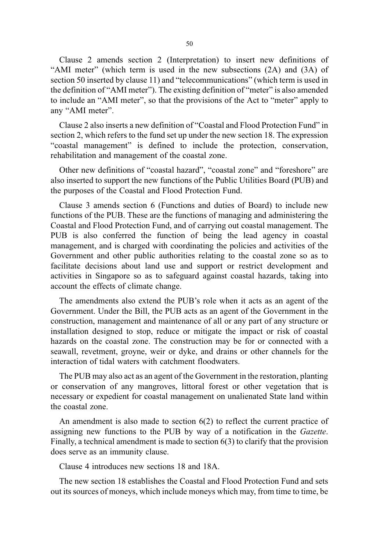Clause 2 amends section 2 (Interpretation) to insert new definitions of "AMI meter" (which term is used in the new subsections (2A) and (3A) of section 50 inserted by clause 11) and "telecommunications" (which term is used in the definition of "AMI meter"). The existing definition of "meter" is also amended to include an "AMI meter", so that the provisions of the Act to "meter" apply to any "AMI meter".

Clause 2 also inserts a new definition of "Coastal and Flood Protection Fund" in section 2, which refers to the fund set up under the new section 18. The expression "coastal management" is defined to include the protection, conservation, rehabilitation and management of the coastal zone.

Other new definitions of "coastal hazard", "coastal zone" and "foreshore" are also inserted to support the new functions of the Public Utilities Board (PUB) and the purposes of the Coastal and Flood Protection Fund.

Clause 3 amends section 6 (Functions and duties of Board) to include new functions of the PUB. These are the functions of managing and administering the Coastal and Flood Protection Fund, and of carrying out coastal management. The PUB is also conferred the function of being the lead agency in coastal management, and is charged with coordinating the policies and activities of the Government and other public authorities relating to the coastal zone so as to facilitate decisions about land use and support or restrict development and activities in Singapore so as to safeguard against coastal hazards, taking into account the effects of climate change.

The amendments also extend the PUB's role when it acts as an agent of the Government. Under the Bill, the PUB acts as an agent of the Government in the construction, management and maintenance of all or any part of any structure or installation designed to stop, reduce or mitigate the impact or risk of coastal hazards on the coastal zone. The construction may be for or connected with a seawall, revetment, groyne, weir or dyke, and drains or other channels for the interaction of tidal waters with catchment floodwaters.

The PUB may also act as an agent of the Government in the restoration, planting or conservation of any mangroves, littoral forest or other vegetation that is necessary or expedient for coastal management on unalienated State land within the coastal zone.

An amendment is also made to section 6(2) to reflect the current practice of assigning new functions to the PUB by way of a notification in the Gazette. Finally, a technical amendment is made to section 6(3) to clarify that the provision does serve as an immunity clause.

Clause 4 introduces new sections 18 and 18A.

The new section 18 establishes the Coastal and Flood Protection Fund and sets out its sources of moneys, which include moneys which may, from time to time, be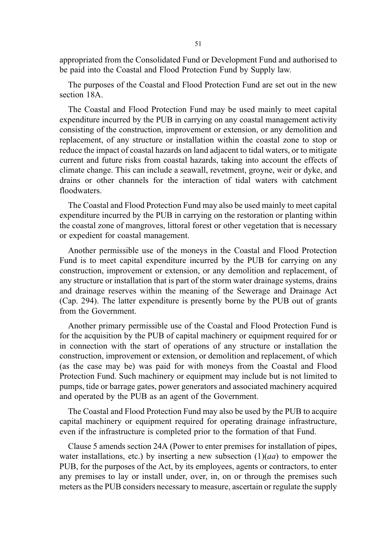appropriated from the Consolidated Fund or Development Fund and authorised to be paid into the Coastal and Flood Protection Fund by Supply law.

The purposes of the Coastal and Flood Protection Fund are set out in the new section 18A.

The Coastal and Flood Protection Fund may be used mainly to meet capital expenditure incurred by the PUB in carrying on any coastal management activity consisting of the construction, improvement or extension, or any demolition and replacement, of any structure or installation within the coastal zone to stop or reduce the impact of coastal hazards on land adjacent to tidal waters, or to mitigate current and future risks from coastal hazards, taking into account the effects of climate change. This can include a seawall, revetment, groyne, weir or dyke, and drains or other channels for the interaction of tidal waters with catchment floodwaters.

The Coastal and Flood Protection Fund may also be used mainly to meet capital expenditure incurred by the PUB in carrying on the restoration or planting within the coastal zone of mangroves, littoral forest or other vegetation that is necessary or expedient for coastal management.

Another permissible use of the moneys in the Coastal and Flood Protection Fund is to meet capital expenditure incurred by the PUB for carrying on any construction, improvement or extension, or any demolition and replacement, of any structure or installation that is part of the storm water drainage systems, drains and drainage reserves within the meaning of the Sewerage and Drainage Act (Cap. 294). The latter expenditure is presently borne by the PUB out of grants from the Government.

Another primary permissible use of the Coastal and Flood Protection Fund is for the acquisition by the PUB of capital machinery or equipment required for or in connection with the start of operations of any structure or installation the construction, improvement or extension, or demolition and replacement, of which (as the case may be) was paid for with moneys from the Coastal and Flood Protection Fund. Such machinery or equipment may include but is not limited to pumps, tide or barrage gates, power generators and associated machinery acquired and operated by the PUB as an agent of the Government.

The Coastal and Flood Protection Fund may also be used by the PUB to acquire capital machinery or equipment required for operating drainage infrastructure, even if the infrastructure is completed prior to the formation of that Fund.

Clause 5 amends section 24A (Power to enter premises for installation of pipes, water installations, etc.) by inserting a new subsection  $(1)(aa)$  to empower the PUB, for the purposes of the Act, by its employees, agents or contractors, to enter any premises to lay or install under, over, in, on or through the premises such meters as the PUB considers necessary to measure, ascertain or regulate the supply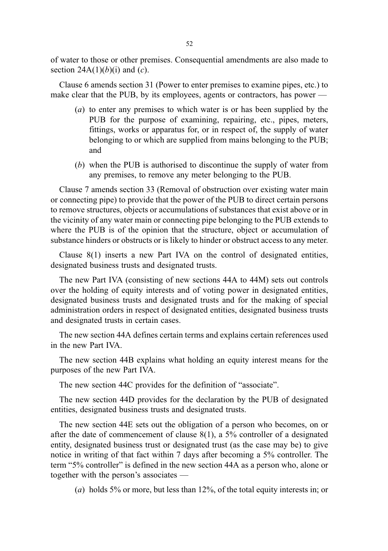of water to those or other premises. Consequential amendments are also made to section  $24A(1)(b)(i)$  and  $(c)$ .

Clause 6 amends section 31 (Power to enter premises to examine pipes, etc.) to make clear that the PUB, by its employees, agents or contractors, has power —

- (a) to enter any premises to which water is or has been supplied by the PUB for the purpose of examining, repairing, etc., pipes, meters, fittings, works or apparatus for, or in respect of, the supply of water belonging to or which are supplied from mains belonging to the PUB; and
- (b) when the PUB is authorised to discontinue the supply of water from any premises, to remove any meter belonging to the PUB.

Clause 7 amends section 33 (Removal of obstruction over existing water main or connecting pipe) to provide that the power of the PUB to direct certain persons to remove structures, objects or accumulations of substances that exist above or in the vicinity of any water main or connecting pipe belonging to the PUB extends to where the PUB is of the opinion that the structure, object or accumulation of substance hinders or obstructs or is likely to hinder or obstruct access to any meter.

Clause 8(1) inserts a new Part IVA on the control of designated entities, designated business trusts and designated trusts.

The new Part IVA (consisting of new sections 44A to 44M) sets out controls over the holding of equity interests and of voting power in designated entities, designated business trusts and designated trusts and for the making of special administration orders in respect of designated entities, designated business trusts and designated trusts in certain cases.

The new section 44A defines certain terms and explains certain references used in the new Part IVA.

The new section 44B explains what holding an equity interest means for the purposes of the new Part IVA.

The new section 44C provides for the definition of "associate".

The new section 44D provides for the declaration by the PUB of designated entities, designated business trusts and designated trusts.

The new section 44E sets out the obligation of a person who becomes, on or after the date of commencement of clause 8(1), a 5% controller of a designated entity, designated business trust or designated trust (as the case may be) to give notice in writing of that fact within 7 days after becoming a 5% controller. The term "5% controller" is defined in the new section 44A as a person who, alone or together with the person's associates —

(a) holds 5% or more, but less than 12%, of the total equity interests in; or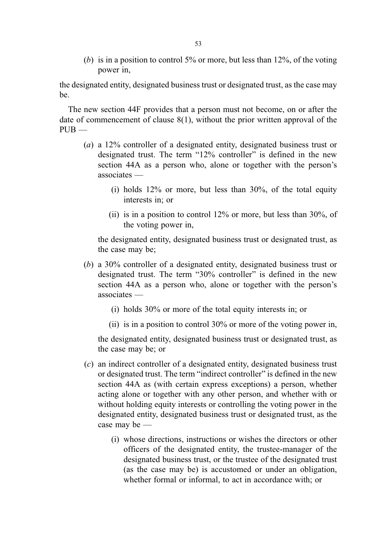(b) is in a position to control 5% or more, but less than  $12\%$ , of the voting power in,

the designated entity, designated business trust or designated trust, as the case may be.

The new section 44F provides that a person must not become, on or after the date of commencement of clause  $8(1)$ , without the prior written approval of the  $PIIB$  —

- (a) a 12% controller of a designated entity, designated business trust or designated trust. The term "12% controller" is defined in the new section 44A as a person who, alone or together with the person's associates —
	- (i) holds 12% or more, but less than 30%, of the total equity interests in; or
	- (ii) is in a position to control 12% or more, but less than 30%, of the voting power in,

the designated entity, designated business trust or designated trust, as the case may be;

- (b) a 30% controller of a designated entity, designated business trust or designated trust. The term "30% controller" is defined in the new section 44A as a person who, alone or together with the person's associates —
	- (i) holds 30% or more of the total equity interests in; or
	- (ii) is in a position to control 30% or more of the voting power in,

the designated entity, designated business trust or designated trust, as the case may be; or

- (c) an indirect controller of a designated entity, designated business trust or designated trust. The term "indirect controller" is defined in the new section 44A as (with certain express exceptions) a person, whether acting alone or together with any other person, and whether with or without holding equity interests or controlling the voting power in the designated entity, designated business trust or designated trust, as the case may be —
	- (i) whose directions, instructions or wishes the directors or other officers of the designated entity, the trustee-manager of the designated business trust, or the trustee of the designated trust (as the case may be) is accustomed or under an obligation, whether formal or informal, to act in accordance with; or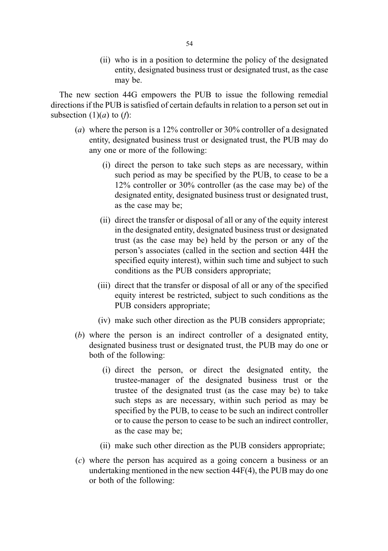(ii) who is in a position to determine the policy of the designated entity, designated business trust or designated trust, as the case may be.

The new section 44G empowers the PUB to issue the following remedial directions if the PUB is satisfied of certain defaults in relation to a person set out in subsection  $(1)(a)$  to  $(f)$ :

- (a) where the person is a  $12\%$  controller or  $30\%$  controller of a designated entity, designated business trust or designated trust, the PUB may do any one or more of the following:
	- (i) direct the person to take such steps as are necessary, within such period as may be specified by the PUB, to cease to be a 12% controller or 30% controller (as the case may be) of the designated entity, designated business trust or designated trust, as the case may be;
	- (ii) direct the transfer or disposal of all or any of the equity interest in the designated entity, designated business trust or designated trust (as the case may be) held by the person or any of the person's associates (called in the section and section 44H the specified equity interest), within such time and subject to such conditions as the PUB considers appropriate;
	- (iii) direct that the transfer or disposal of all or any of the specified equity interest be restricted, subject to such conditions as the PUB considers appropriate;
	- (iv) make such other direction as the PUB considers appropriate;
- (b) where the person is an indirect controller of a designated entity, designated business trust or designated trust, the PUB may do one or both of the following:
	- (i) direct the person, or direct the designated entity, the trustee-manager of the designated business trust or the trustee of the designated trust (as the case may be) to take such steps as are necessary, within such period as may be specified by the PUB, to cease to be such an indirect controller or to cause the person to cease to be such an indirect controller, as the case may be;
	- (ii) make such other direction as the PUB considers appropriate;
- (c) where the person has acquired as a going concern a business or an undertaking mentioned in the new section 44F(4), the PUB may do one or both of the following: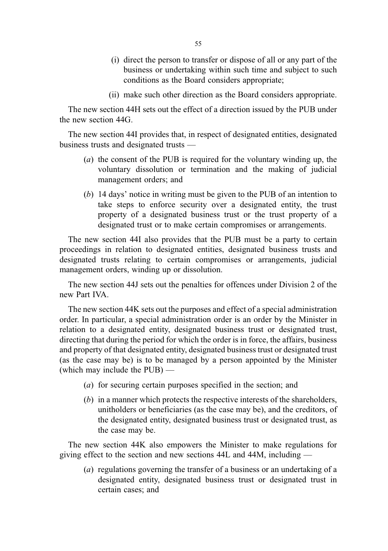- (i) direct the person to transfer or dispose of all or any part of the business or undertaking within such time and subject to such conditions as the Board considers appropriate;
- (ii) make such other direction as the Board considers appropriate.

The new section 44H sets out the effect of a direction issued by the PUB under the new section 44G.

The new section 44I provides that, in respect of designated entities, designated business trusts and designated trusts —

- (a) the consent of the PUB is required for the voluntary winding up, the voluntary dissolution or termination and the making of judicial management orders; and
- (b) 14 days' notice in writing must be given to the PUB of an intention to take steps to enforce security over a designated entity, the trust property of a designated business trust or the trust property of a designated trust or to make certain compromises or arrangements.

The new section 44I also provides that the PUB must be a party to certain proceedings in relation to designated entities, designated business trusts and designated trusts relating to certain compromises or arrangements, judicial management orders, winding up or dissolution.

The new section 44J sets out the penalties for offences under Division 2 of the new Part IVA.

The new section 44K sets out the purposes and effect of a special administration order. In particular, a special administration order is an order by the Minister in relation to a designated entity, designated business trust or designated trust, directing that during the period for which the order is in force, the affairs, business and property of that designated entity, designated business trust or designated trust (as the case may be) is to be managed by a person appointed by the Minister (which may include the PUB) —

- (a) for securing certain purposes specified in the section; and
- (b) in a manner which protects the respective interests of the shareholders, unitholders or beneficiaries (as the case may be), and the creditors, of the designated entity, designated business trust or designated trust, as the case may be.

The new section 44K also empowers the Minister to make regulations for giving effect to the section and new sections 44L and 44M, including —

(a) regulations governing the transfer of a business or an undertaking of a designated entity, designated business trust or designated trust in certain cases; and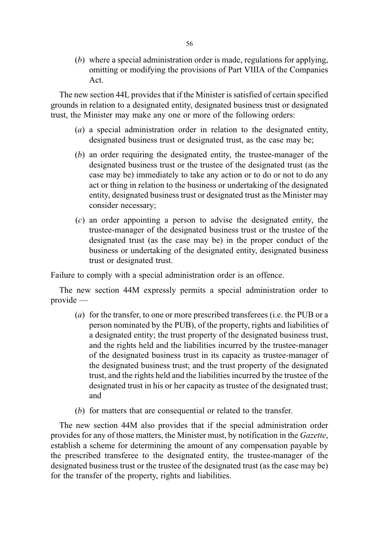(b) where a special administration order is made, regulations for applying, omitting or modifying the provisions of Part VIIIA of the Companies Act.

The new section 44L provides that if the Minister is satisfied of certain specified grounds in relation to a designated entity, designated business trust or designated trust, the Minister may make any one or more of the following orders:

- (a) a special administration order in relation to the designated entity, designated business trust or designated trust, as the case may be;
- (b) an order requiring the designated entity, the trustee-manager of the designated business trust or the trustee of the designated trust (as the case may be) immediately to take any action or to do or not to do any act or thing in relation to the business or undertaking of the designated entity, designated business trust or designated trust as the Minister may consider necessary;
- (c) an order appointing a person to advise the designated entity, the trustee-manager of the designated business trust or the trustee of the designated trust (as the case may be) in the proper conduct of the business or undertaking of the designated entity, designated business trust or designated trust.

Failure to comply with a special administration order is an offence.

The new section 44M expressly permits a special administration order to provide —

- (a) for the transfer, to one or more prescribed transferees (i.e. the PUB or a person nominated by the PUB), of the property, rights and liabilities of a designated entity; the trust property of the designated business trust, and the rights held and the liabilities incurred by the trustee-manager of the designated business trust in its capacity as trustee-manager of the designated business trust; and the trust property of the designated trust, and the rights held and the liabilities incurred by the trustee of the designated trust in his or her capacity as trustee of the designated trust; and
- (b) for matters that are consequential or related to the transfer.

The new section 44M also provides that if the special administration order provides for any of those matters, the Minister must, by notification in the Gazette, establish a scheme for determining the amount of any compensation payable by the prescribed transferee to the designated entity, the trustee-manager of the designated business trust or the trustee of the designated trust (as the case may be) for the transfer of the property, rights and liabilities.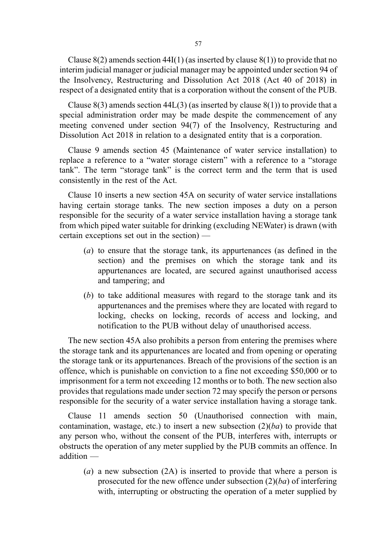Clause  $8(2)$  amends section  $44I(1)$  (as inserted by clause  $8(1)$ ) to provide that no interim judicial manager or judicial manager may be appointed under section 94 of the Insolvency, Restructuring and Dissolution Act 2018 (Act 40 of 2018) in respect of a designated entity that is a corporation without the consent of the PUB.

Clause  $8(3)$  amends section  $44L(3)$  (as inserted by clause  $8(1)$ ) to provide that a special administration order may be made despite the commencement of any meeting convened under section 94(7) of the Insolvency, Restructuring and Dissolution Act 2018 in relation to a designated entity that is a corporation.

Clause 9 amends section 45 (Maintenance of water service installation) to replace a reference to a "water storage cistern" with a reference to a "storage tank". The term "storage tank" is the correct term and the term that is used consistently in the rest of the Act.

Clause 10 inserts a new section 45A on security of water service installations having certain storage tanks. The new section imposes a duty on a person responsible for the security of a water service installation having a storage tank from which piped water suitable for drinking (excluding NEWater) is drawn (with certain exceptions set out in the section) —

- (a) to ensure that the storage tank, its appurtenances (as defined in the section) and the premises on which the storage tank and its appurtenances are located, are secured against unauthorised access and tampering; and
- (b) to take additional measures with regard to the storage tank and its appurtenances and the premises where they are located with regard to locking, checks on locking, records of access and locking, and notification to the PUB without delay of unauthorised access.

The new section 45A also prohibits a person from entering the premises where the storage tank and its appurtenances are located and from opening or operating the storage tank or its appurtenances. Breach of the provisions of the section is an offence, which is punishable on conviction to a fine not exceeding \$50,000 or to imprisonment for a term not exceeding 12 months or to both. The new section also provides that regulations made under section 72 may specify the person or persons responsible for the security of a water service installation having a storage tank.

Clause 11 amends section 50 (Unauthorised connection with main, contamination, wastage, etc.) to insert a new subsection  $(2)(ba)$  to provide that any person who, without the consent of the PUB, interferes with, interrupts or obstructs the operation of any meter supplied by the PUB commits an offence. In addition —

(a) a new subsection  $(2A)$  is inserted to provide that where a person is prosecuted for the new offence under subsection  $(2)(ba)$  of interfering with, interrupting or obstructing the operation of a meter supplied by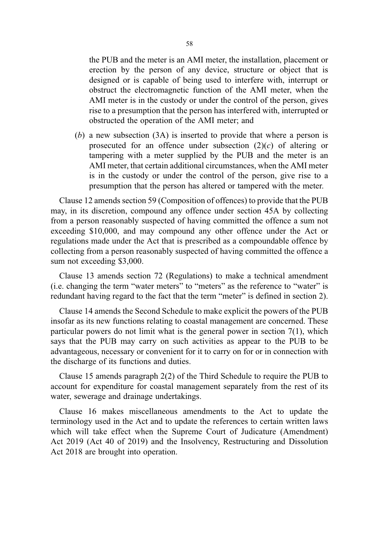the PUB and the meter is an AMI meter, the installation, placement or erection by the person of any device, structure or object that is designed or is capable of being used to interfere with, interrupt or obstruct the electromagnetic function of the AMI meter, when the AMI meter is in the custody or under the control of the person, gives rise to a presumption that the person has interfered with, interrupted or obstructed the operation of the AMI meter; and

(b) a new subsection (3A) is inserted to provide that where a person is prosecuted for an offence under subsection  $(2)(c)$  of altering or tampering with a meter supplied by the PUB and the meter is an AMI meter, that certain additional circumstances, when the AMI meter is in the custody or under the control of the person, give rise to a presumption that the person has altered or tampered with the meter.

Clause 12 amends section 59 (Composition of offences) to provide that the PUB may, in its discretion, compound any offence under section 45A by collecting from a person reasonably suspected of having committed the offence a sum not exceeding \$10,000, and may compound any other offence under the Act or regulations made under the Act that is prescribed as a compoundable offence by collecting from a person reasonably suspected of having committed the offence a sum not exceeding \$3,000.

Clause 13 amends section 72 (Regulations) to make a technical amendment (i.e. changing the term "water meters" to "meters" as the reference to "water" is redundant having regard to the fact that the term "meter" is defined in section 2).

Clause 14 amends the Second Schedule to make explicit the powers of the PUB insofar as its new functions relating to coastal management are concerned. These particular powers do not limit what is the general power in section 7(1), which says that the PUB may carry on such activities as appear to the PUB to be advantageous, necessary or convenient for it to carry on for or in connection with the discharge of its functions and duties.

Clause 15 amends paragraph 2(2) of the Third Schedule to require the PUB to account for expenditure for coastal management separately from the rest of its water, sewerage and drainage undertakings.

Clause 16 makes miscellaneous amendments to the Act to update the terminology used in the Act and to update the references to certain written laws which will take effect when the Supreme Court of Judicature (Amendment) Act 2019 (Act 40 of 2019) and the Insolvency, Restructuring and Dissolution Act 2018 are brought into operation.